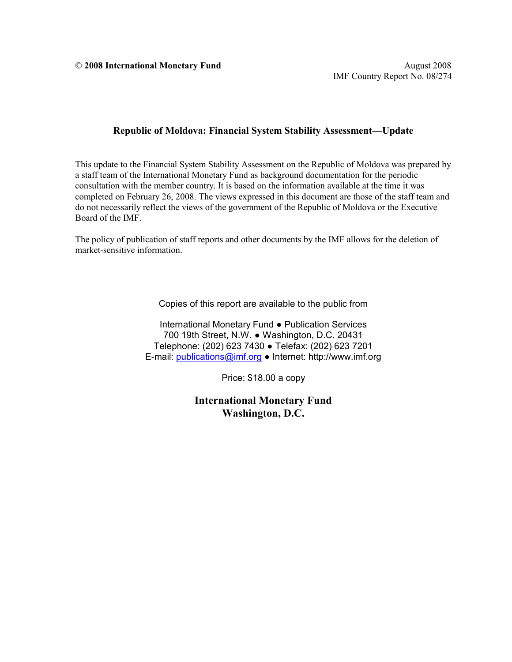© **2008 International Monetary Fund** August 2008

#### **Republic of Moldova: Financial System Stability Assessment—Update**

This update to the Financial System Stability Assessment on the Republic of Moldova was prepared by a staff team of the International Monetary Fund as background documentation for the periodic consultation with the member country. It is based on the information available at the time it was completed on February 26, 2008. The views expressed in this document are those of the staff team and do not necessarily reflect the views of the government of the Republic of Moldova or the Executive Board of the IMF.

The policy of publication of staff reports and other documents by the IMF allows for the deletion of market-sensitive information.

Copies of this report are available to the public from

International Monetary Fund ● Publication Services 700 19th Street, N.W. ● Washington, D.C. 20431 Telephone: (202) 623 7430 ● Telefax: (202) 623 7201 E-mail: [publications@imf.org](mailto:publications@imf.org) ● Internet: http://www.imf.org

Price: \$18.00 a copy

**International Monetary Fund Washington, D.C.**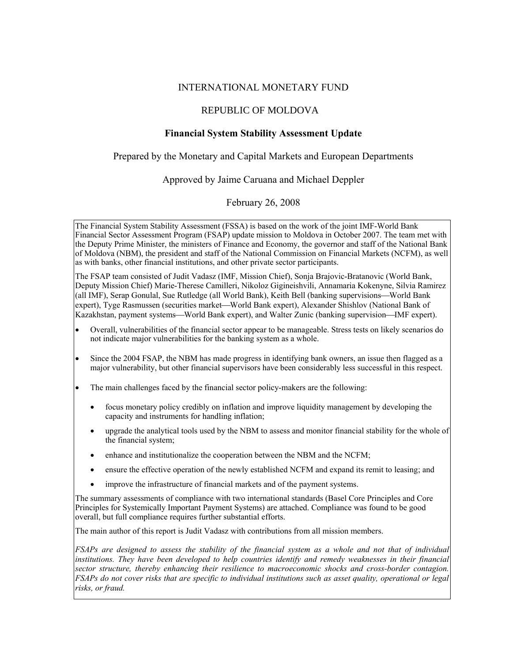#### INTERNATIONAL MONETARY FUND

#### REPUBLIC OF MOLDOVA

#### **Financial System Stability Assessment Update**

Prepared by the Monetary and Capital Markets and European Departments

Approved by Jaime Caruana and Michael Deppler

February 26, 2008

The Financial System Stability Assessment (FSSA) is based on the work of the joint IMF-World Bank Financial Sector Assessment Program (FSAP) update mission to Moldova in October 2007. The team met with the Deputy Prime Minister, the ministers of Finance and Economy, the governor and staff of the National Bank of Moldova (NBM), the president and staff of the National Commission on Financial Markets (NCFM), as well as with banks, other financial institutions, and other private sector participants.

The FSAP team consisted of Judit Vadasz (IMF, Mission Chief), Sonja Brajovic-Bratanovic (World Bank, Deputy Mission Chief) Marie-Therese Camilleri, Nikoloz Gigineishvili, Annamaria Kokenyne, Silvia Ramirez (all IMF), Serap Gonulal, Sue Rutledge (all World Bank), Keith Bell (banking supervisions—World Bank expert), Tyge Rasmussen (securities market—World Bank expert), Alexander Shishlov (National Bank of Kazakhstan, payment systems—World Bank expert), and Walter Zunic (banking supervision—IMF expert).

- Overall, vulnerabilities of the financial sector appear to be manageable. Stress tests on likely scenarios do not indicate major vulnerabilities for the banking system as a whole.
- Since the 2004 FSAP, the NBM has made progress in identifying bank owners, an issue then flagged as a major vulnerability, but other financial supervisors have been considerably less successful in this respect.
- The main challenges faced by the financial sector policy-makers are the following:
	- focus monetary policy credibly on inflation and improve liquidity management by developing the capacity and instruments for handling inflation;
	- upgrade the analytical tools used by the NBM to assess and monitor financial stability for the whole of the financial system;
	- enhance and institutionalize the cooperation between the NBM and the NCFM;
	- ensure the effective operation of the newly established NCFM and expand its remit to leasing; and
	- improve the infrastructure of financial markets and of the payment systems.

The summary assessments of compliance with two international standards (Basel Core Principles and Core Principles for Systemically Important Payment Systems) are attached. Compliance was found to be good overall, but full compliance requires further substantial efforts.

The main author of this report is Judit Vadasz with contributions from all mission members.

*FSAPs are designed to assess the stability of the financial system as a whole and not that of individual institutions. They have been developed to help countries identify and remedy weaknesses in their financial sector structure, thereby enhancing their resilience to macroeconomic shocks and cross-border contagion. FSAPs do not cover risks that are specific to individual institutions such as asset quality, operational or legal risks, or fraud.*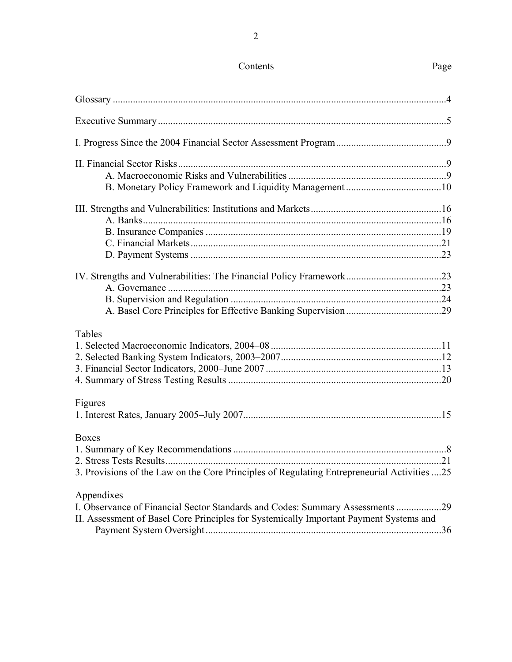# Contents Page

| Tables                                                                                      |  |
|---------------------------------------------------------------------------------------------|--|
|                                                                                             |  |
|                                                                                             |  |
|                                                                                             |  |
|                                                                                             |  |
| Figures                                                                                     |  |
|                                                                                             |  |
|                                                                                             |  |
| Boxes                                                                                       |  |
|                                                                                             |  |
|                                                                                             |  |
| 3. Provisions of the Law on the Core Principles of Regulating Entrepreneurial Activities 25 |  |
|                                                                                             |  |
| Appendixes                                                                                  |  |
| I. Observance of Financial Sector Standards and Codes: Summary Assessments 29               |  |
| II. Assessment of Basel Core Principles for Systemically Important Payment Systems and      |  |

| II. Assessment of Basel Core Principles for Systemically Important Payment Systems and |  |
|----------------------------------------------------------------------------------------|--|
|                                                                                        |  |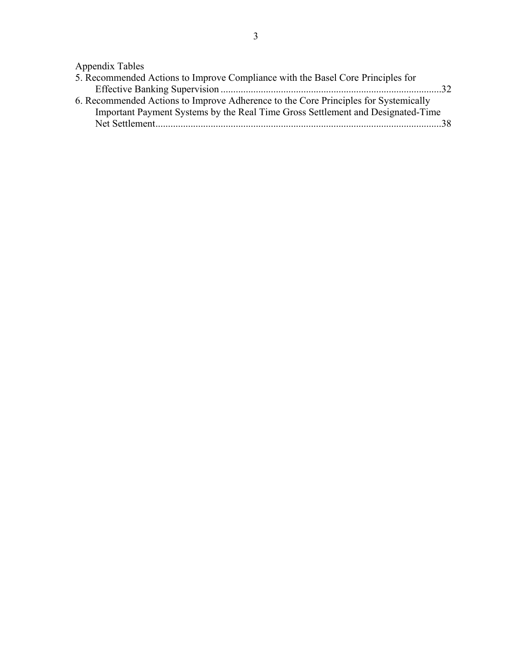Appendix Tables

| 5. Recommended Actions to Improve Compliance with the Basel Core Principles for     |       |
|-------------------------------------------------------------------------------------|-------|
|                                                                                     | $-32$ |
| 6. Recommended Actions to Improve Adherence to the Core Principles for Systemically |       |
| Important Payment Systems by the Real Time Gross Settlement and Designated-Time     |       |
|                                                                                     |       |
|                                                                                     |       |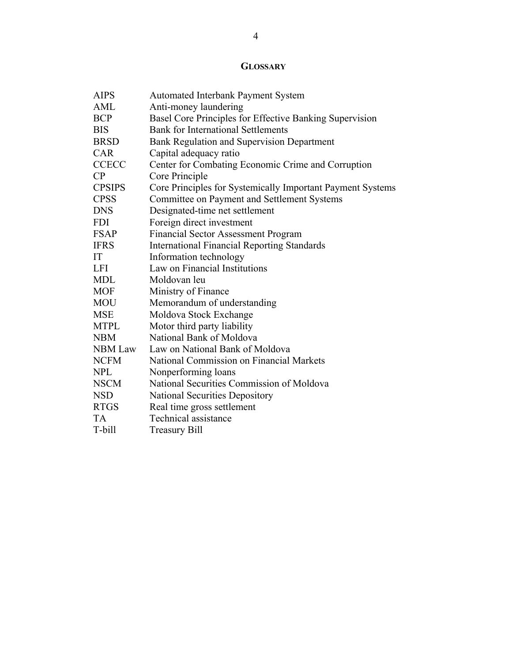### **GLOSSARY**

| <b>AIPS</b>    | <b>Automated Interbank Payment System</b>                  |
|----------------|------------------------------------------------------------|
| AML            | Anti-money laundering                                      |
| <b>BCP</b>     | Basel Core Principles for Effective Banking Supervision    |
| <b>BIS</b>     | <b>Bank for International Settlements</b>                  |
| <b>BRSD</b>    | Bank Regulation and Supervision Department                 |
| <b>CAR</b>     | Capital adequacy ratio                                     |
| <b>CCECC</b>   | Center for Combating Economic Crime and Corruption         |
| CP             | Core Principle                                             |
| <b>CPSIPS</b>  | Core Principles for Systemically Important Payment Systems |
| <b>CPSS</b>    | Committee on Payment and Settlement Systems                |
| <b>DNS</b>     | Designated-time net settlement                             |
| <b>FDI</b>     | Foreign direct investment                                  |
| <b>FSAP</b>    | <b>Financial Sector Assessment Program</b>                 |
| <b>IFRS</b>    | <b>International Financial Reporting Standards</b>         |
| IT             | Information technology                                     |
| <b>LFI</b>     | Law on Financial Institutions                              |
| MDL            | Moldovan leu                                               |
| <b>MOF</b>     | Ministry of Finance                                        |
| <b>MOU</b>     | Memorandum of understanding                                |
| <b>MSE</b>     | Moldova Stock Exchange                                     |
| <b>MTPL</b>    | Motor third party liability                                |
| <b>NBM</b>     | National Bank of Moldova                                   |
| <b>NBM</b> Law | Law on National Bank of Moldova                            |
| <b>NCFM</b>    | National Commission on Financial Markets                   |
| <b>NPL</b>     | Nonperforming loans                                        |
| <b>NSCM</b>    | National Securities Commission of Moldova                  |
| <b>NSD</b>     | <b>National Securities Depository</b>                      |
| <b>RTGS</b>    | Real time gross settlement                                 |
| <b>TA</b>      | Technical assistance                                       |
| T-bill         | <b>Treasury Bill</b>                                       |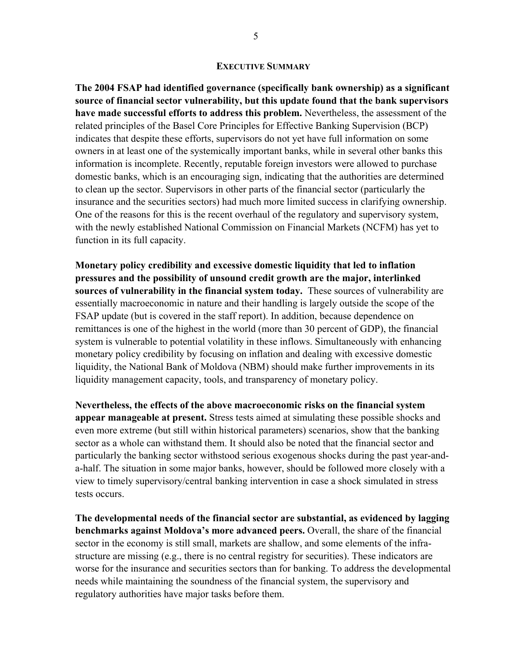#### **EXECUTIVE SUMMARY**

**The 2004 FSAP had identified governance (specifically bank ownership) as a significant source of financial sector vulnerability, but this update found that the bank supervisors have made successful efforts to address this problem.** Nevertheless, the assessment of the related principles of the Basel Core Principles for Effective Banking Supervision (BCP) indicates that despite these efforts, supervisors do not yet have full information on some owners in at least one of the systemically important banks, while in several other banks this information is incomplete. Recently, reputable foreign investors were allowed to purchase domestic banks, which is an encouraging sign, indicating that the authorities are determined to clean up the sector. Supervisors in other parts of the financial sector (particularly the insurance and the securities sectors) had much more limited success in clarifying ownership. One of the reasons for this is the recent overhaul of the regulatory and supervisory system, with the newly established National Commission on Financial Markets (NCFM) has yet to function in its full capacity.

**Monetary policy credibility and excessive domestic liquidity that led to inflation pressures and the possibility of unsound credit growth are the major, interlinked sources of vulnerability in the financial system today.** These sources of vulnerability are essentially macroeconomic in nature and their handling is largely outside the scope of the FSAP update (but is covered in the staff report). In addition, because dependence on remittances is one of the highest in the world (more than 30 percent of GDP), the financial system is vulnerable to potential volatility in these inflows. Simultaneously with enhancing monetary policy credibility by focusing on inflation and dealing with excessive domestic liquidity, the National Bank of Moldova (NBM) should make further improvements in its liquidity management capacity, tools, and transparency of monetary policy.

**Nevertheless, the effects of the above macroeconomic risks on the financial system appear manageable at present.** Stress tests aimed at simulating these possible shocks and even more extreme (but still within historical parameters) scenarios, show that the banking sector as a whole can withstand them. It should also be noted that the financial sector and particularly the banking sector withstood serious exogenous shocks during the past year-anda-half. The situation in some major banks, however, should be followed more closely with a view to timely supervisory/central banking intervention in case a shock simulated in stress tests occurs.

**The developmental needs of the financial sector are substantial, as evidenced by lagging benchmarks against Moldova's more advanced peers.** Overall, the share of the financial sector in the economy is still small, markets are shallow, and some elements of the infrastructure are missing (e.g., there is no central registry for securities). These indicators are worse for the insurance and securities sectors than for banking. To address the developmental needs while maintaining the soundness of the financial system, the supervisory and regulatory authorities have major tasks before them.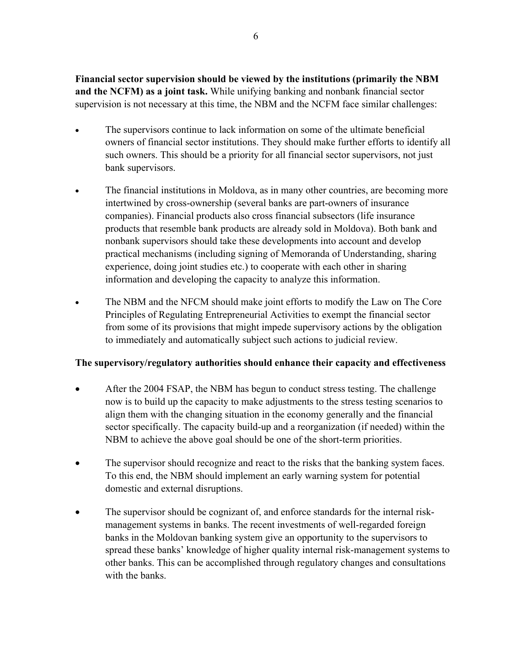**Financial sector supervision should be viewed by the institutions (primarily the NBM and the NCFM) as a joint task.** While unifying banking and nonbank financial sector supervision is not necessary at this time, the NBM and the NCFM face similar challenges:

- The supervisors continue to lack information on some of the ultimate beneficial owners of financial sector institutions. They should make further efforts to identify all such owners. This should be a priority for all financial sector supervisors, not just bank supervisors.
- The financial institutions in Moldova, as in many other countries, are becoming more intertwined by cross-ownership (several banks are part-owners of insurance companies). Financial products also cross financial subsectors (life insurance products that resemble bank products are already sold in Moldova). Both bank and nonbank supervisors should take these developments into account and develop practical mechanisms (including signing of Memoranda of Understanding, sharing experience, doing joint studies etc.) to cooperate with each other in sharing information and developing the capacity to analyze this information.
- The NBM and the NFCM should make joint efforts to modify the Law on The Core Principles of Regulating Entrepreneurial Activities to exempt the financial sector from some of its provisions that might impede supervisory actions by the obligation to immediately and automatically subject such actions to judicial review.

#### **The supervisory/regulatory authorities should enhance their capacity and effectiveness**

- After the 2004 FSAP, the NBM has begun to conduct stress testing. The challenge now is to build up the capacity to make adjustments to the stress testing scenarios to align them with the changing situation in the economy generally and the financial sector specifically. The capacity build-up and a reorganization (if needed) within the NBM to achieve the above goal should be one of the short-term priorities.
- The supervisor should recognize and react to the risks that the banking system faces. To this end, the NBM should implement an early warning system for potential domestic and external disruptions.
- The supervisor should be cognizant of, and enforce standards for the internal riskmanagement systems in banks. The recent investments of well-regarded foreign banks in the Moldovan banking system give an opportunity to the supervisors to spread these banks' knowledge of higher quality internal risk-management systems to other banks. This can be accomplished through regulatory changes and consultations with the banks.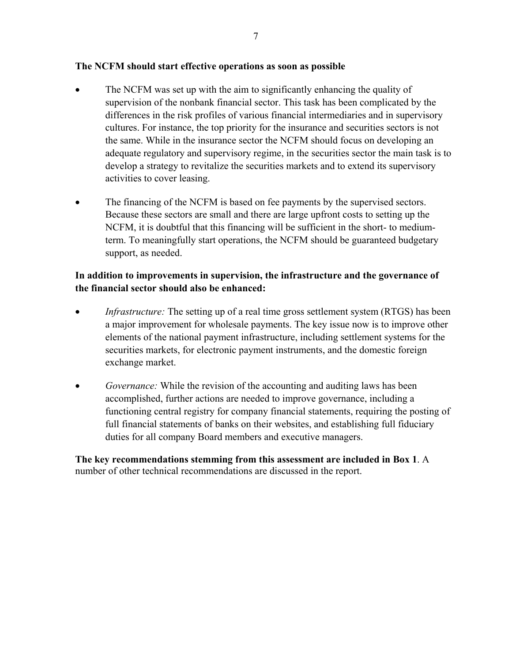#### **The NCFM should start effective operations as soon as possible**

- The NCFM was set up with the aim to significantly enhancing the quality of supervision of the nonbank financial sector. This task has been complicated by the differences in the risk profiles of various financial intermediaries and in supervisory cultures. For instance, the top priority for the insurance and securities sectors is not the same. While in the insurance sector the NCFM should focus on developing an adequate regulatory and supervisory regime, in the securities sector the main task is to develop a strategy to revitalize the securities markets and to extend its supervisory activities to cover leasing.
- The financing of the NCFM is based on fee payments by the supervised sectors. Because these sectors are small and there are large upfront costs to setting up the NCFM, it is doubtful that this financing will be sufficient in the short- to mediumterm. To meaningfully start operations, the NCFM should be guaranteed budgetary support, as needed.

#### **In addition to improvements in supervision, the infrastructure and the governance of the financial sector should also be enhanced:**

- *Infrastructure:* The setting up of a real time gross settlement system (RTGS) has been a major improvement for wholesale payments. The key issue now is to improve other elements of the national payment infrastructure, including settlement systems for the securities markets, for electronic payment instruments, and the domestic foreign exchange market.
- *Governance:* While the revision of the accounting and auditing laws has been accomplished, further actions are needed to improve governance, including a functioning central registry for company financial statements, requiring the posting of full financial statements of banks on their websites, and establishing full fiduciary duties for all company Board members and executive managers.

**The key recommendations stemming from this assessment are included in Box 1**. A number of other technical recommendations are discussed in the report.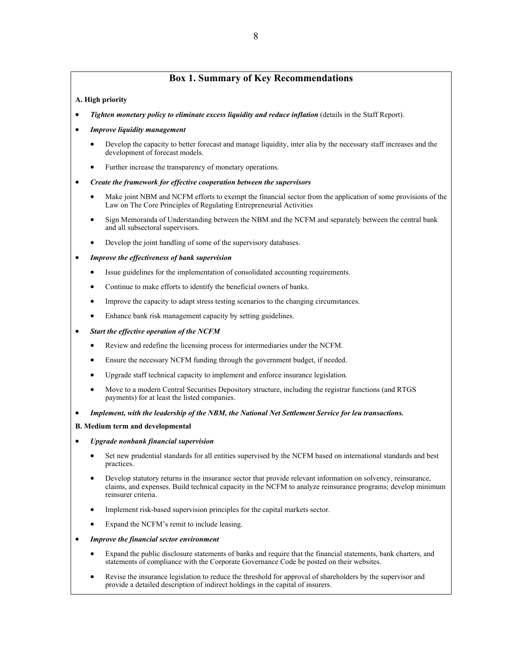#### **Box 1. Summary of Key Recommendations**

#### **A. High priority**

- *Tighten monetary policy to eliminate excess liquidity and reduce inflation* (details in the Staff Report).
- *Improve liquidity management* 
	- Develop the capacity to better forecast and manage liquidity, inter alia by the necessary staff increases and the development of forecast models.
	- Further increase the transparency of monetary operations.
- *Create the framework for effective cooperation between the supervisors* 
	- Make joint NBM and NCFM efforts to exempt the financial sector from the application of some provisions of the Law on The Core Principles of Regulating Entrepreneurial Activities
	- Sign Memoranda of Understanding between the NBM and the NCFM and separately between the central bank and all subsectoral supervisors.
	- Develop the joint handling of some of the supervisory databases.

#### • *Improve the effectiveness of bank supervision*

- Issue guidelines for the implementation of consolidated accounting requirements.
- Continue to make efforts to identify the beneficial owners of banks.
- Improve the capacity to adapt stress testing scenarios to the changing circumstances.
- Enhance bank risk management capacity by setting guidelines.

#### • *Start the effective operation of the NCFM*

- Review and redefine the licensing process for intermediaries under the NCFM.
- Ensure the necessary NCFM funding through the government budget, if needed.
- Upgrade staff technical capacity to implement and enforce insurance legislation.
- Move to a modern Central Securities Depository structure, including the registrar functions (and RTGS payments) for at least the listed companies.
- *Implement, with the leadership of the NBM, the National Net Settlement Service for leu transactions.*

#### **B. Medium term and developmental**

- *Upgrade nonbank financial supervision*
	- Set new prudential standards for all entities supervised by the NCFM based on international standards and best practices.
	- Develop statutory returns in the insurance sector that provide relevant information on solvency, reinsurance, claims, and expenses. Build technical capacity in the NCFM to analyze reinsurance programs; develop minimum reinsurer criteria.
	- Implement risk-based supervision principles for the capital markets sector.
	- Expand the NCFM's remit to include leasing.
- *Improve the financial sector environment* 
	- Expand the public disclosure statements of banks and require that the financial statements, bank charters, and statements of compliance with the Corporate Governance Code be posted on their websites.
	- Revise the insurance legislation to reduce the threshold for approval of shareholders by the supervisor and provide a detailed description of indirect holdings in the capital of insurers.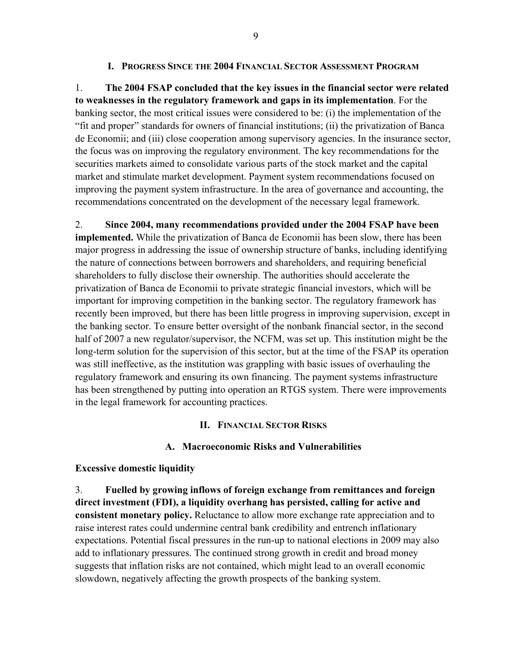#### **I. PROGRESS SINCE THE 2004 FINANCIAL SECTOR ASSESSMENT PROGRAM**

1. **The 2004 FSAP concluded that the key issues in the financial sector were related to weaknesses in the regulatory framework and gaps in its implementation**. For the banking sector, the most critical issues were considered to be: (i) the implementation of the "fit and proper" standards for owners of financial institutions; (ii) the privatization of Banca de Economii; and (iii) close cooperation among supervisory agencies. In the insurance sector, the focus was on improving the regulatory environment. The key recommendations for the securities markets aimed to consolidate various parts of the stock market and the capital market and stimulate market development. Payment system recommendations focused on improving the payment system infrastructure. In the area of governance and accounting, the recommendations concentrated on the development of the necessary legal framework.

2. **Since 2004, many recommendations provided under the 2004 FSAP have been implemented.** While the privatization of Banca de Economii has been slow, there has been major progress in addressing the issue of ownership structure of banks, including identifying the nature of connections between borrowers and shareholders, and requiring beneficial shareholders to fully disclose their ownership. The authorities should accelerate the privatization of Banca de Economii to private strategic financial investors, which will be important for improving competition in the banking sector. The regulatory framework has recently been improved, but there has been little progress in improving supervision, except in the banking sector. To ensure better oversight of the nonbank financial sector, in the second half of 2007 a new regulator/supervisor, the NCFM, was set up. This institution might be the long-term solution for the supervision of this sector, but at the time of the FSAP its operation was still ineffective, as the institution was grappling with basic issues of overhauling the regulatory framework and ensuring its own financing. The payment systems infrastructure has been strengthened by putting into operation an RTGS system. There were improvements in the legal framework for accounting practices.

#### **II. FINANCIAL SECTOR RISKS**

#### **A. Macroeconomic Risks and Vulnerabilities**

#### **Excessive domestic liquidity**

3. **Fuelled by growing inflows of foreign exchange from remittances and foreign direct investment (FDI), a liquidity overhang has persisted, calling for active and consistent monetary policy.** Reluctance to allow more exchange rate appreciation and to raise interest rates could undermine central bank credibility and entrench inflationary expectations. Potential fiscal pressures in the run-up to national elections in 2009 may also add to inflationary pressures. The continued strong growth in credit and broad money suggests that inflation risks are not contained, which might lead to an overall economic slowdown, negatively affecting the growth prospects of the banking system.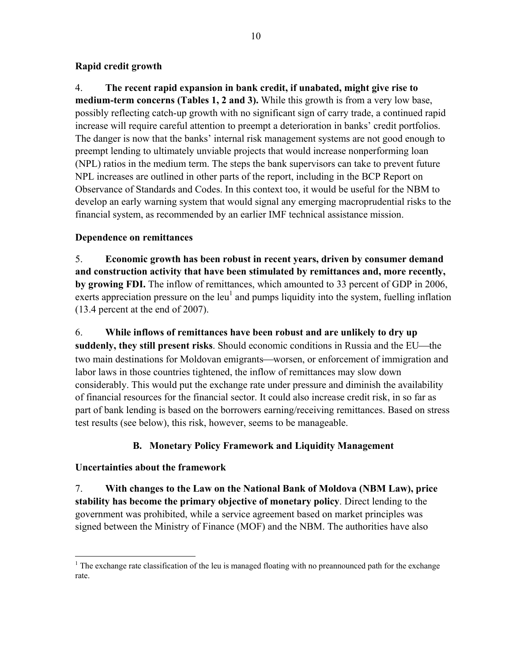#### **Rapid credit growth**

4. **The recent rapid expansion in bank credit, if unabated, might give rise to medium-term concerns (Tables 1, 2 and 3).** While this growth is from a very low base, possibly reflecting catch-up growth with no significant sign of carry trade, a continued rapid increase will require careful attention to preempt a deterioration in banks' credit portfolios. The danger is now that the banks' internal risk management systems are not good enough to preempt lending to ultimately unviable projects that would increase nonperforming loan (NPL) ratios in the medium term. The steps the bank supervisors can take to prevent future NPL increases are outlined in other parts of the report, including in the BCP Report on Observance of Standards and Codes. In this context too, it would be useful for the NBM to develop an early warning system that would signal any emerging macroprudential risks to the financial system, as recommended by an earlier IMF technical assistance mission.

### **Dependence on remittances**

5. **Economic growth has been robust in recent years, driven by consumer demand and construction activity that have been stimulated by remittances and, more recently, by growing FDI.** The inflow of remittances, which amounted to 33 percent of GDP in 2006, exerts appreciation pressure on the leu<sup>1</sup> and pumps liquidity into the system, fuelling inflation (13.4 percent at the end of 2007).

6. **While inflows of remittances have been robust and are unlikely to dry up suddenly, they still present risks**. Should economic conditions in Russia and the EU—the two main destinations for Moldovan emigrants—worsen, or enforcement of immigration and labor laws in those countries tightened, the inflow of remittances may slow down considerably. This would put the exchange rate under pressure and diminish the availability of financial resources for the financial sector. It could also increase credit risk, in so far as part of bank lending is based on the borrowers earning/receiving remittances. Based on stress test results (see below), this risk, however, seems to be manageable.

### **B. Monetary Policy Framework and Liquidity Management**

### **Uncertainties about the framework**

7. **With changes to the Law on the National Bank of Moldova (NBM Law), price stability has become the primary objective of monetary policy**. Direct lending to the government was prohibited, while a service agreement based on market principles was signed between the Ministry of Finance (MOF) and the NBM. The authorities have also

<sup>1</sup> <sup>1</sup> The exchange rate classification of the leu is managed floating with no preannounced path for the exchange rate.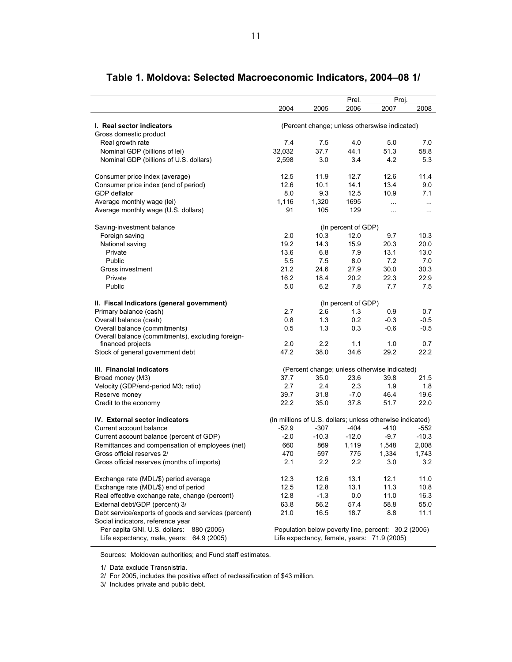|                                                      | 2004    | 2005    | Prel.<br>2006       | Proj.<br>2007                                             | 2008     |
|------------------------------------------------------|---------|---------|---------------------|-----------------------------------------------------------|----------|
|                                                      |         |         |                     |                                                           |          |
| I. Real sector indicators                            |         |         |                     | (Percent change; unless otherswise indicated)             |          |
| Gross domestic product                               |         |         |                     |                                                           |          |
| Real growth rate                                     | 7.4     | 75      | 4.0                 | 5.0                                                       | 7.0      |
| Nominal GDP (billions of lei)                        | 32,032  | 37.7    | 44.1                | 51.3                                                      | 58.8     |
| Nominal GDP (billions of U.S. dollars)               | 2,598   | 3.0     | 3.4                 | 4.2                                                       | 5.3      |
| Consumer price index (average)                       | 12.5    | 11.9    | 12.7                | 12.6                                                      | 11.4     |
| Consumer price index (end of period)                 | 12.6    | 10.1    | 14.1                | 13.4                                                      | 9.0      |
| <b>GDP</b> deflator                                  | 8.0     | 9.3     | 12.5                | 10.9                                                      | 7.1      |
| Average monthly wage (lei)                           | 1,116   | 1,320   | 1695                | $\ddotsc$                                                 | $\ldots$ |
| Average monthly wage (U.S. dollars)                  | 91      | 105     | 129                 | $\ddotsc$                                                 | $\cdots$ |
| Saving-investment balance                            |         |         | (In percent of GDP) |                                                           |          |
| Foreign saving                                       | 2.0     | 10.3    | 12.0                | 9.7                                                       | 10.3     |
| National saving                                      | 19.2    | 14.3    | 15.9                | 20.3                                                      | 20.0     |
| Private                                              | 13.6    | 6.8     | 7.9                 | 13.1                                                      | 13.0     |
| Public                                               | 5.5     | 7.5     | 8.0                 | 7.2                                                       | 7.0      |
| Gross investment                                     | 21.2    | 24.6    | 27.9                | 30.0                                                      | 30.3     |
| Private                                              | 16.2    | 18.4    | 20.2                | 22.3                                                      | 22.9     |
|                                                      |         |         |                     |                                                           |          |
| Public                                               | 5.0     | 6.2     | 7.8                 | 7.7                                                       | 7.5      |
| II. Fiscal Indicators (general government)           |         |         | (In percent of GDP) |                                                           |          |
| Primary balance (cash)                               | 2.7     | 2.6     | 1.3                 | 0.9                                                       | 0.7      |
| Overall balance (cash)                               | 0.8     | 1.3     | 0.2                 | $-0.3$                                                    | $-0.5$   |
| Overall balance (commitments)                        | 0.5     | 1.3     | 0.3                 | $-0.6$                                                    | $-0.5$   |
| Overall balance (commitments), excluding foreign-    |         |         |                     |                                                           |          |
| financed projects                                    | 2.0     | 2.2     | 1.1                 | 1.0                                                       | 0.7      |
| Stock of general government debt                     | 47.2    | 38.0    | 34.6                | 29.2                                                      | 22.2     |
| III. Financial indicators                            |         |         |                     | (Percent change; unless otherwise indicated)              |          |
| Broad money (M3)                                     | 37.7    | 35.0    | 23.6                | 39.8                                                      | 21.5     |
| Velocity (GDP/end-period M3; ratio)                  | 2.7     | 2.4     | 2.3                 | 1.9                                                       | 1.8      |
| Reserve money                                        | 39.7    | 31.8    | $-7.0$              | 46.4                                                      | 19.6     |
| Credit to the economy                                | 22.2    | 35.0    | 37.8                | 51.7                                                      | 22.0     |
| IV. External sector indicators                       |         |         |                     | (In millions of U.S. dollars; unless otherwise indicated) |          |
| Current account balance                              | $-52.9$ | $-307$  | -404                | -410                                                      | -552     |
| Current account balance (percent of GDP)             | $-2.0$  | $-10.3$ | $-12.0$             | $-9.7$                                                    | $-10.3$  |
| Remittances and compensation of employees (net)      | 660     | 869     | 1,119               | 1,548                                                     | 2,008    |
| Gross official reserves 2/                           | 470     | 597     | 775                 | 1,334                                                     | 1,743    |
| Gross official reserves (months of imports)          | 2.1     | 2.2     | 2.2                 | 3.0                                                       | 3.2      |
| Exchange rate (MDL/\$) period average                | 12.3    | 12.6    | 13.1                | 12.1                                                      | 11.0     |
| Exchange rate (MDL/\$) end of period                 | 12.5    | 12.8    | 13.1                | 11.3                                                      | 10.8     |
| Real effective exchange rate, change (percent)       | 12.8    | $-1.3$  | 0.0                 | 11.0                                                      | 16.3     |
| External debt/GDP (percent) 3/                       | 63.8    | 56.2    | 57.4                | 58.8                                                      | 55.0     |
| Debt service/exports of goods and services (percent) | 21.0    | 16.5    | 18.7                | 8.8                                                       | 11.1     |
| Social indicators, reference year                    |         |         |                     |                                                           |          |
| Per capita GNI, U.S. dollars:<br>880 (2005)          |         |         |                     | Population below poverty line, percent: 30.2 (2005)       |          |
| Life expectancy, male, years: 64.9 (2005)            |         |         |                     | Life expectancy, female, years: 71.9 (2005)               |          |
|                                                      |         |         |                     |                                                           |          |

### **Table 1. Moldova: Selected Macroeconomic Indicators, 2004–08 1/**

Sources: Moldovan authorities; and Fund staff estimates.

1/ Data exclude Transnistria.

2/ For 2005, includes the positive effect of reclassification of \$43 million.

3/ Includes private and public debt.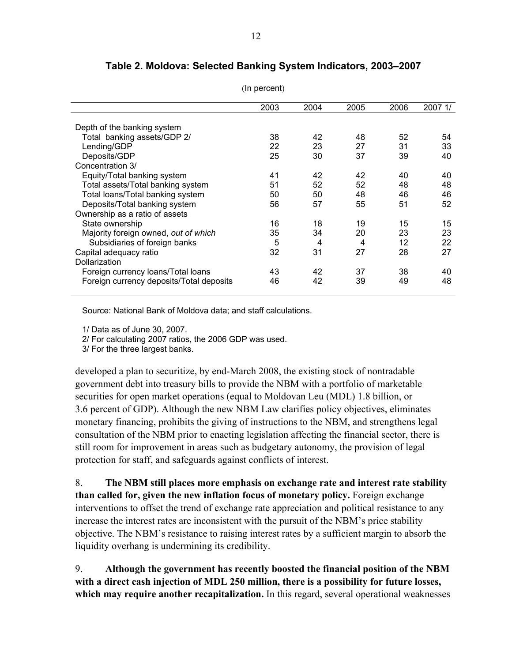|                                          | 2003 | 2004 | 2005 | 2006 | 2007 1/ |
|------------------------------------------|------|------|------|------|---------|
|                                          |      |      |      |      |         |
| Depth of the banking system              |      |      |      |      |         |
| Total banking assets/GDP 2/              | 38   | 42   | 48   | 52   | 54      |
| Lending/GDP                              | 22   | 23   | 27   | 31   | 33      |
| Deposits/GDP                             | 25   | 30   | 37   | 39   | 40      |
| Concentration 3/                         |      |      |      |      |         |
| Equity/Total banking system              | 41   | 42   | 42   | 40   | 40      |
| Total assets/Total banking system        | 51   | 52   | 52   | 48   | 48      |
| Total loans/Total banking system         | 50   | 50   | 48   | 46   | 46      |
| Deposits/Total banking system            | 56   | 57   | 55   | 51   | 52      |
| Ownership as a ratio of assets           |      |      |      |      |         |
| State ownership                          | 16   | 18   | 19   | 15   | 15      |
| Majority foreign owned, out of which     | 35   | 34   | 20   | 23   | 23      |
| Subsidiaries of foreign banks            | 5    | 4    | 4    | 12   | 22      |
| Capital adequacy ratio                   | 32   | 31   | 27   | 28   | 27      |
| Dollarization                            |      |      |      |      |         |
| Foreign currency loans/Total loans       | 43   | 42   | 37   | 38   | 40      |
| Foreign currency deposits/Total deposits | 46   | 42   | 39   | 49   | 48      |
|                                          |      |      |      |      |         |

**Table 2. Moldova: Selected Banking System Indicators, 2003–2007**

(In percent)

Source: National Bank of Moldova data; and staff calculations.

1/ Data as of June 30, 2007.

2/ For calculating 2007 ratios, the 2006 GDP was used.

3/ For the three largest banks.

developed a plan to securitize, by end-March 2008, the existing stock of nontradable government debt into treasury bills to provide the NBM with a portfolio of marketable securities for open market operations (equal to Moldovan Leu (MDL) 1.8 billion, or 3.6 percent of GDP). Although the new NBM Law clarifies policy objectives, eliminates monetary financing, prohibits the giving of instructions to the NBM, and strengthens legal consultation of the NBM prior to enacting legislation affecting the financial sector, there is still room for improvement in areas such as budgetary autonomy, the provision of legal protection for staff, and safeguards against conflicts of interest.

8. **The NBM still places more emphasis on exchange rate and interest rate stability than called for, given the new inflation focus of monetary policy.** Foreign exchange interventions to offset the trend of exchange rate appreciation and political resistance to any increase the interest rates are inconsistent with the pursuit of the NBM's price stability objective. The NBM's resistance to raising interest rates by a sufficient margin to absorb the liquidity overhang is undermining its credibility.

9. **Although the government has recently boosted the financial position of the NBM with a direct cash injection of MDL 250 million, there is a possibility for future losses, which may require another recapitalization.** In this regard, several operational weaknesses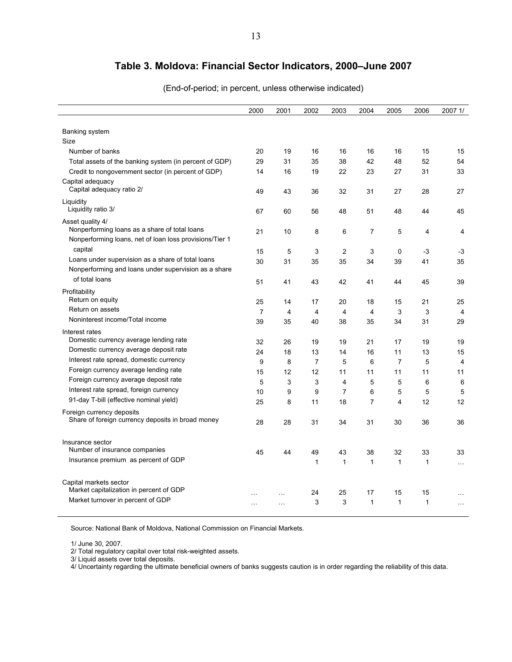### **Table 3. Moldova: Financial Sector Indicators, 2000–June 2007**

| (End-of-period; in percent, unless otherwise indicated) |  |
|---------------------------------------------------------|--|
|---------------------------------------------------------|--|

|                                                         | 2000           | 2001     | 2002           | 2003 | 2004           | 2005           | 2006         | 2007 1/        |
|---------------------------------------------------------|----------------|----------|----------------|------|----------------|----------------|--------------|----------------|
|                                                         |                |          |                |      |                |                |              |                |
| Banking system                                          |                |          |                |      |                |                |              |                |
| Size                                                    |                |          |                |      |                |                |              |                |
| Number of banks                                         | 20             | 19       | 16             | 16   | 16             | 16             | 15           | 15             |
| Total assets of the banking system (in percent of GDP)  | 29             | 31       | 35             | 38   | 42             | 48             | 52           | 54             |
| Credit to nongovernment sector (in percent of GDP)      | 14             | 16       | 19             | 22   | 23             | 27             | 31           | 33             |
| Capital adequacy                                        |                |          |                |      |                |                |              |                |
| Capital adequacy ratio 2/                               | 49             | 43       | 36             | 32   | 31             | 27             | 28           | 27             |
| Liquidity                                               |                |          |                |      |                |                |              |                |
| Liquidity ratio 3/                                      | 67             | 60       | 56             | 48   | 51             | 48             | 44           | 45             |
| Asset quality 4/                                        |                |          |                |      |                |                |              |                |
| Nonperforming loans as a share of total loans           | 21             | 10       | 8              | 6    | 7              | 5              | 4            | 4              |
| Nonperforming loans, net of loan loss provisions/Tier 1 |                |          |                |      |                |                |              |                |
| capital                                                 | 15             | 5        | 3              | 2    | 3              | 0              | -3           | $-3$           |
| Loans under supervision as a share of total loans       | 30             | 31       | 35             | 35   | 34             | 39             | 41           | 35             |
| Nonperforming and loans under supervision as a share    |                |          |                |      |                |                |              |                |
| of total loans                                          | 51             | 41       | 43             | 42   | 41             | 44             | 45           | 39             |
| Profitability                                           |                |          |                |      |                |                |              |                |
| Return on equity                                        | 25             | 14       | 17             | 20   | 18             | 15             | 21           | 25             |
| Return on assets                                        | $\overline{7}$ | 4        | 4              | 4    | 4              | 3              | 3            | $\overline{4}$ |
| Noninterest income/Total income                         | 39             | 35       | 40             | 38   | 35             | 34             | 31           | 29             |
| Interest rates                                          |                |          |                |      |                |                |              |                |
| Domestic currency average lending rate                  | 32             | 26       | 19             | 19   | 21             | 17             | 19           | 19             |
| Domestic currency average deposit rate                  | 24             | 18       | 13             | 14   | 16             | 11             | 13           | 15             |
| Interest rate spread, domestic currency                 | 9              | 8        | $\overline{7}$ | 5    | 6              | $\overline{7}$ | 5            | 4              |
| Foreign currency average lending rate                   | 15             | 12       | 12             | 11   | 11             | 11             | 11           | 11             |
| Foreign currency average deposit rate                   | 5              | 3        | 3              | 4    | 5              | 5              | 6            | 6              |
| Interest rate spread, foreign currency                  | 10             | 9        | 9              | 7    | 6              | 5              | 5            | 5              |
| 91-day T-bill (effective nominal yield)                 | 25             | 8        | 11             | 18   | $\overline{7}$ | $\overline{4}$ | 12           | 12             |
| Foreign currency deposits                               |                |          |                |      |                |                |              |                |
| Share of foreign currency deposits in broad money       | 28             | 28       | 31             | 34   | 31             | 30             | 36           | 36             |
| Insurance sector                                        |                |          |                |      |                |                |              |                |
| Number of insurance companies                           | 45             | 44       | 49             | 43   | 38             | 32             | 33           | 33             |
| Insurance premium as percent of GDP                     |                |          | $\mathbf{1}$   | 1    | $\mathbf{1}$   | 1              | 1            |                |
|                                                         |                |          |                |      |                |                |              | $\ddotsc$      |
| Capital markets sector                                  |                |          |                |      |                |                |              |                |
| Market capitalization in percent of GDP                 |                |          | 24             | 25   | 17             | 15             | 15           | $\ddotsc$      |
| Market turnover in percent of GDP                       | $\cdots$       | $\cdots$ | 3              | 3    | $\mathbf{1}$   | $\mathbf{1}$   | $\mathbf{1}$ | $\ldots$       |
|                                                         |                |          |                |      |                |                |              |                |

Source: National Bank of Moldova, National Commission on Financial Markets.

1/ June 30, 2007.

2/ Total regulatory capital over total risk-weighted assets.

3/ Liquid assets over total deposits.

4/ Uncertainty regarding the ultimate beneficial owners of banks suggests caution is in order regarding the reliability of this data.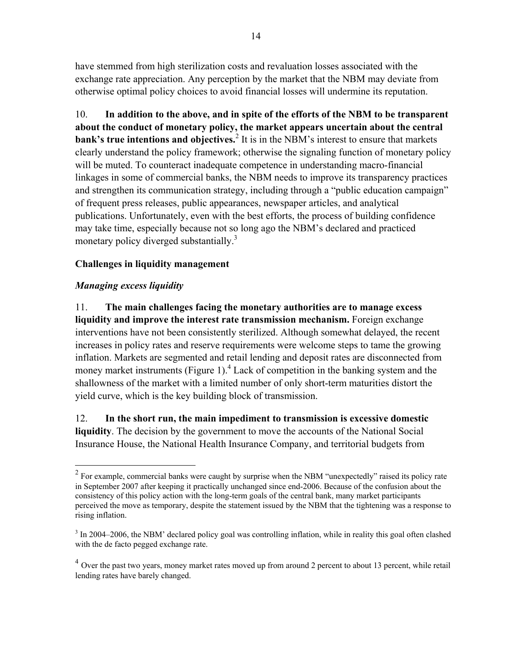have stemmed from high sterilization costs and revaluation losses associated with the exchange rate appreciation. Any perception by the market that the NBM may deviate from otherwise optimal policy choices to avoid financial losses will undermine its reputation.

10. **In addition to the above, and in spite of the efforts of the NBM to be transparent about the conduct of monetary policy, the market appears uncertain about the central bank's true intentions and objectives.**<sup>2</sup> It is in the NBM's interest to ensure that markets clearly understand the policy framework; otherwise the signaling function of monetary policy will be muted. To counteract inadequate competence in understanding macro-financial linkages in some of commercial banks, the NBM needs to improve its transparency practices and strengthen its communication strategy, including through a "public education campaign" of frequent press releases, public appearances, newspaper articles, and analytical publications. Unfortunately, even with the best efforts, the process of building confidence may take time, especially because not so long ago the NBM's declared and practiced monetary policy diverged substantially.<sup>3</sup>

### **Challenges in liquidity management**

#### *Managing excess liquidity*

 $\overline{a}$ 

11. **The main challenges facing the monetary authorities are to manage excess liquidity and improve the interest rate transmission mechanism.** Foreign exchange interventions have not been consistently sterilized. Although somewhat delayed, the recent increases in policy rates and reserve requirements were welcome steps to tame the growing inflation. Markets are segmented and retail lending and deposit rates are disconnected from money market instruments (Figure 1). $^{4}$  Lack of competition in the banking system and the shallowness of the market with a limited number of only short-term maturities distort the yield curve, which is the key building block of transmission.

12. **In the short run, the main impediment to transmission is excessive domestic liquidity**. The decision by the government to move the accounts of the National Social Insurance House, the National Health Insurance Company, and territorial budgets from

 $2^2$  For example, commercial banks were caught by surprise when the NBM "unexpectedly" raised its policy rate in September 2007 after keeping it practically unchanged since end-2006. Because of the confusion about the consistency of this policy action with the long-term goals of the central bank, many market participants perceived the move as temporary, despite the statement issued by the NBM that the tightening was a response to rising inflation.

 $3 \text{ In } 2004-2006$ , the NBM' declared policy goal was controlling inflation, while in reality this goal often clashed with the de facto pegged exchange rate.

<sup>&</sup>lt;sup>4</sup> Over the past two years, money market rates moved up from around 2 percent to about 13 percent, while retail lending rates have barely changed.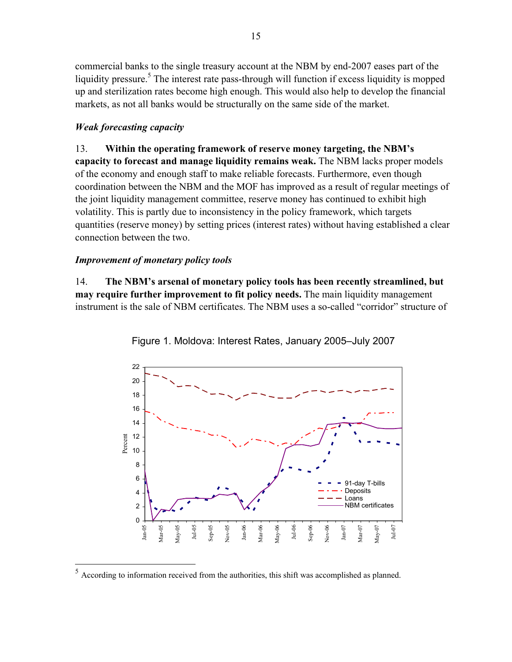commercial banks to the single treasury account at the NBM by end-2007 eases part of the liquidity pressure.<sup>5</sup> The interest rate pass-through will function if excess liquidity is mopped up and sterilization rates become high enough. This would also help to develop the financial markets, as not all banks would be structurally on the same side of the market.

#### *Weak forecasting capacity*

13. **Within the operating framework of reserve money targeting, the NBM's capacity to forecast and manage liquidity remains weak.** The NBM lacks proper models of the economy and enough staff to make reliable forecasts. Furthermore, even though coordination between the NBM and the MOF has improved as a result of regular meetings of the joint liquidity management committee, reserve money has continued to exhibit high volatility. This is partly due to inconsistency in the policy framework, which targets quantities (reserve money) by setting prices (interest rates) without having established a clear connection between the two.

#### *Improvement of monetary policy tools*

1

14. **The NBM's arsenal of monetary policy tools has been recently streamlined, but may require further improvement to fit policy needs.** The main liquidity management instrument is the sale of NBM certificates. The NBM uses a so-called "corridor" structure of



Figure 1. Moldova: Interest Rates, January 2005–July 2007

 $<sup>5</sup>$  According to information received from the authorities, this shift was accomplished as planned.</sup>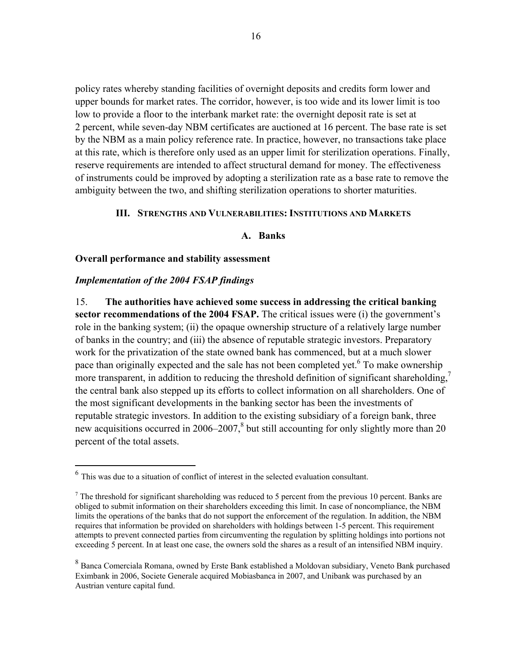policy rates whereby standing facilities of overnight deposits and credits form lower and upper bounds for market rates. The corridor, however, is too wide and its lower limit is too low to provide a floor to the interbank market rate: the overnight deposit rate is set at 2 percent, while seven-day NBM certificates are auctioned at 16 percent. The base rate is set by the NBM as a main policy reference rate. In practice, however, no transactions take place at this rate, which is therefore only used as an upper limit for sterilization operations. Finally, reserve requirements are intended to affect structural demand for money. The effectiveness of instruments could be improved by adopting a sterilization rate as a base rate to remove the ambiguity between the two, and shifting sterilization operations to shorter maturities.

#### **III. STRENGTHS AND VULNERABILITIES: INSTITUTIONS AND MARKETS**

#### **A. Banks**

#### **Overall performance and stability assessment**

#### *Implementation of the 2004 FSAP findings*

 $\overline{a}$ 

15. **The authorities have achieved some success in addressing the critical banking sector recommendations of the 2004 FSAP.** The critical issues were (i) the government's role in the banking system; (ii) the opaque ownership structure of a relatively large number of banks in the country; and (iii) the absence of reputable strategic investors. Preparatory work for the privatization of the state owned bank has commenced, but at a much slower pace than originally expected and the sale has not been completed yet. <sup>6</sup> To make ownership more transparent, in addition to reducing the threshold definition of significant shareholding.<sup>7</sup> the central bank also stepped up its efforts to collect information on all shareholders. One of the most significant developments in the banking sector has been the investments of reputable strategic investors. In addition to the existing subsidiary of a foreign bank, three new acquisitions occurred in  $2006-2007$ ,<sup>8</sup> but still accounting for only slightly more than 20 percent of the total assets.

<sup>6</sup> This was due to a situation of conflict of interest in the selected evaluation consultant.

 $<sup>7</sup>$  The threshold for significant shareholding was reduced to 5 percent from the previous 10 percent. Banks are</sup> obliged to submit information on their shareholders exceeding this limit. In case of noncompliance, the NBM limits the operations of the banks that do not support the enforcement of the regulation. In addition, the NBM requires that information be provided on shareholders with holdings between 1-5 percent. This requirement attempts to prevent connected parties from circumventing the regulation by splitting holdings into portions not exceeding 5 percent. In at least one case, the owners sold the shares as a result of an intensified NBM inquiry.

 $8$  Banca Comerciala Romana, owned by Erste Bank established a Moldovan subsidiary, Veneto Bank purchased Eximbank in 2006, Societe Generale acquired Mobiasbanca in 2007, and Unibank was purchased by an Austrian venture capital fund.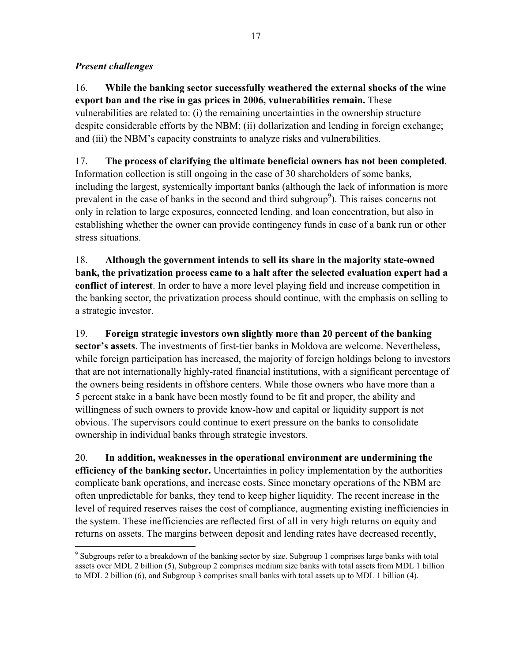#### *Present challenges*

 $\overline{a}$ 

16. **While the banking sector successfully weathered the external shocks of the wine export ban and the rise in gas prices in 2006, vulnerabilities remain.** These vulnerabilities are related to: (i) the remaining uncertainties in the ownership structure despite considerable efforts by the NBM; (ii) dollarization and lending in foreign exchange;

and (iii) the NBM's capacity constraints to analyze risks and vulnerabilities.

17. **The process of clarifying the ultimate beneficial owners has not been completed**. Information collection is still ongoing in the case of 30 shareholders of some banks, including the largest, systemically important banks (although the lack of information is more prevalent in the case of banks in the second and third subgroup<sup>9</sup>). This raises concerns not only in relation to large exposures, connected lending, and loan concentration, but also in establishing whether the owner can provide contingency funds in case of a bank run or other stress situations.

18. **Although the government intends to sell its share in the majority state-owned bank, the privatization process came to a halt after the selected evaluation expert had a conflict of interest**. In order to have a more level playing field and increase competition in the banking sector, the privatization process should continue, with the emphasis on selling to a strategic investor.

19. **Foreign strategic investors own slightly more than 20 percent of the banking sector's assets**. The investments of first-tier banks in Moldova are welcome. Nevertheless, while foreign participation has increased, the majority of foreign holdings belong to investors that are not internationally highly-rated financial institutions, with a significant percentage of the owners being residents in offshore centers. While those owners who have more than a 5 percent stake in a bank have been mostly found to be fit and proper, the ability and willingness of such owners to provide know-how and capital or liquidity support is not obvious. The supervisors could continue to exert pressure on the banks to consolidate ownership in individual banks through strategic investors.

20. **In addition, weaknesses in the operational environment are undermining the efficiency of the banking sector.** Uncertainties in policy implementation by the authorities complicate bank operations, and increase costs. Since monetary operations of the NBM are often unpredictable for banks, they tend to keep higher liquidity. The recent increase in the level of required reserves raises the cost of compliance, augmenting existing inefficiencies in the system. These inefficiencies are reflected first of all in very high returns on equity and returns on assets. The margins between deposit and lending rates have decreased recently,

<sup>&</sup>lt;sup>9</sup> Subgroups refer to a breakdown of the banking sector by size. Subgroup 1 comprises large banks with total assets over MDL 2 billion (5), Subgroup 2 comprises medium size banks with total assets from MDL 1 billion to MDL 2 billion (6), and Subgroup 3 comprises small banks with total assets up to MDL 1 billion (4).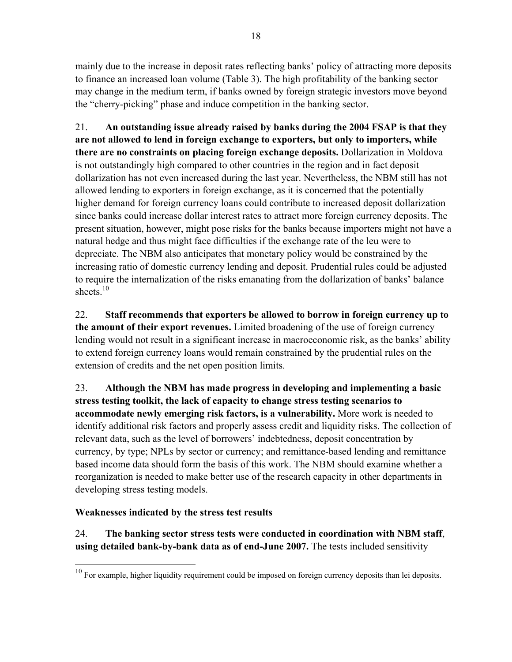mainly due to the increase in deposit rates reflecting banks' policy of attracting more deposits to finance an increased loan volume (Table 3). The high profitability of the banking sector may change in the medium term, if banks owned by foreign strategic investors move beyond the "cherry-picking" phase and induce competition in the banking sector.

21. **An outstanding issue already raised by banks during the 2004 FSAP is that they are not allowed to lend in foreign exchange to exporters, but only to importers, while there are no constraints on placing foreign exchange deposits.** Dollarization in Moldova is not outstandingly high compared to other countries in the region and in fact deposit dollarization has not even increased during the last year. Nevertheless, the NBM still has not allowed lending to exporters in foreign exchange, as it is concerned that the potentially higher demand for foreign currency loans could contribute to increased deposit dollarization since banks could increase dollar interest rates to attract more foreign currency deposits. The present situation, however, might pose risks for the banks because importers might not have a natural hedge and thus might face difficulties if the exchange rate of the leu were to depreciate. The NBM also anticipates that monetary policy would be constrained by the increasing ratio of domestic currency lending and deposit. Prudential rules could be adjusted to require the internalization of the risks emanating from the dollarization of banks' balance sheets $10$ 

22. **Staff recommends that exporters be allowed to borrow in foreign currency up to the amount of their export revenues.** Limited broadening of the use of foreign currency lending would not result in a significant increase in macroeconomic risk, as the banks' ability to extend foreign currency loans would remain constrained by the prudential rules on the extension of credits and the net open position limits.

23. **Although the NBM has made progress in developing and implementing a basic stress testing toolkit, the lack of capacity to change stress testing scenarios to accommodate newly emerging risk factors, is a vulnerability.** More work is needed to identify additional risk factors and properly assess credit and liquidity risks. The collection of relevant data, such as the level of borrowers' indebtedness, deposit concentration by currency, by type; NPLs by sector or currency; and remittance-based lending and remittance based income data should form the basis of this work. The NBM should examine whether a reorganization is needed to make better use of the research capacity in other departments in developing stress testing models.

### **Weaknesses indicated by the stress test results**

1

24. **The banking sector stress tests were conducted in coordination with NBM staff**, **using detailed bank-by-bank data as of end-June 2007.** The tests included sensitivity

 $10$  For example, higher liquidity requirement could be imposed on foreign currency deposits than lei deposits.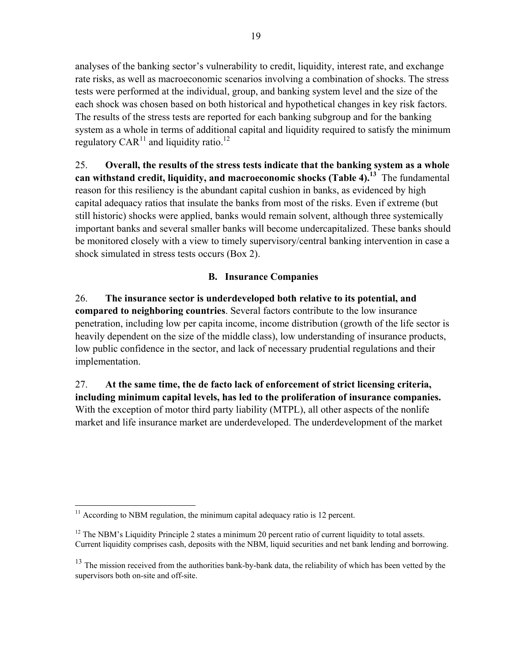analyses of the banking sector's vulnerability to credit, liquidity, interest rate, and exchange rate risks, as well as macroeconomic scenarios involving a combination of shocks. The stress tests were performed at the individual, group, and banking system level and the size of the each shock was chosen based on both historical and hypothetical changes in key risk factors. The results of the stress tests are reported for each banking subgroup and for the banking system as a whole in terms of additional capital and liquidity required to satisfy the minimum regulatory  $CAR^{11}$  and liquidity ratio.<sup>12</sup>

25. **Overall, the results of the stress tests indicate that the banking system as a whole can withstand credit, liquidity, and macroeconomic shocks (Table 4).13** The fundamental reason for this resiliency is the abundant capital cushion in banks, as evidenced by high capital adequacy ratios that insulate the banks from most of the risks. Even if extreme (but still historic) shocks were applied, banks would remain solvent, although three systemically important banks and several smaller banks will become undercapitalized. These banks should be monitored closely with a view to timely supervisory/central banking intervention in case a shock simulated in stress tests occurs (Box 2).

#### **B. Insurance Companies**

26. **The insurance sector is underdeveloped both relative to its potential, and compared to neighboring countries**. Several factors contribute to the low insurance penetration, including low per capita income, income distribution (growth of the life sector is heavily dependent on the size of the middle class), low understanding of insurance products, low public confidence in the sector, and lack of necessary prudential regulations and their implementation.

27. **At the same time, the de facto lack of enforcement of strict licensing criteria, including minimum capital levels, has led to the proliferation of insurance companies.** With the exception of motor third party liability (MTPL), all other aspects of the nonlife market and life insurance market are underdeveloped. The underdevelopment of the market

 $\overline{a}$  $11$  According to NBM regulation, the minimum capital adequacy ratio is 12 percent.

 $12$  The NBM's Liquidity Principle 2 states a minimum 20 percent ratio of current liquidity to total assets. Current liquidity comprises cash, deposits with the NBM, liquid securities and net bank lending and borrowing.

<sup>&</sup>lt;sup>13</sup> The mission received from the authorities bank-by-bank data, the reliability of which has been vetted by the supervisors both on-site and off-site.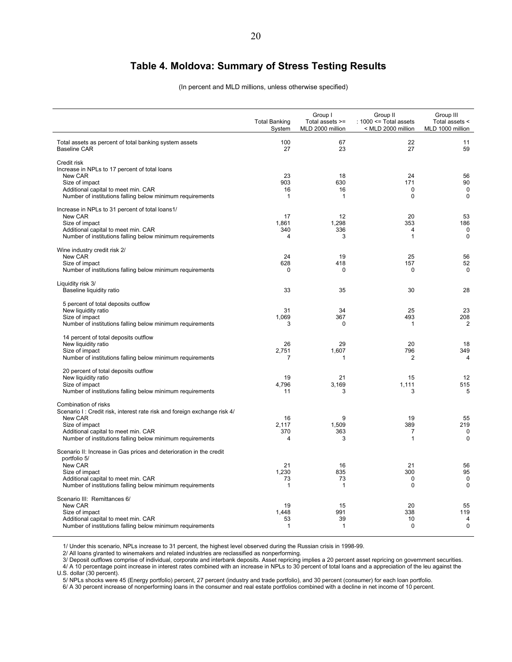### **Table 4. Moldova: Summary of Stress Testing Results**

(In percent and MLD millions, unless otherwise specified)

|                                                                                                                                                                                                                                   | <b>Total Banking</b><br>System    | Group I<br>Total assets >=<br>MLD 2000 million | Group II<br>: $1000 \le$ Total assets<br>< MLD 2000 million | Group III<br>Total assets <<br>MLD 1000 million |
|-----------------------------------------------------------------------------------------------------------------------------------------------------------------------------------------------------------------------------------|-----------------------------------|------------------------------------------------|-------------------------------------------------------------|-------------------------------------------------|
| Total assets as percent of total banking system assets<br><b>Baseline CAR</b>                                                                                                                                                     | 100<br>27                         | 67<br>23                                       | 22<br>27                                                    | 11<br>59                                        |
| Credit risk<br>Increase in NPLs to 17 percent of total loans<br>New CAR<br>Size of impact<br>Additional capital to meet min. CAR<br>Number of institutions falling below minimum requirements                                     | 23<br>903<br>16<br>$\mathbf{1}$   | 18<br>630<br>16<br>$\mathbf{1}$                | 24<br>171<br>$\Omega$<br>$\mathbf 0$                        | 56<br>90<br>$\mathbf 0$<br>$\mathbf 0$          |
| Increase in NPLs to 31 percent of total loans1/<br>New CAR<br>Size of impact<br>Additional capital to meet min. CAR<br>Number of institutions falling below minimum requirements                                                  | 17<br>1,861<br>340<br>4           | 12<br>1,298<br>336<br>3                        | 20<br>353<br>$\overline{4}$<br>$\mathbf{1}$                 | 53<br>186<br>$\mathbf 0$<br>$\Omega$            |
| Wine industry credit risk 2/<br>New CAR<br>Size of impact<br>Number of institutions falling below minimum requirements                                                                                                            | 24<br>628<br>$\Omega$             | 19<br>418<br>$\mathbf 0$                       | 25<br>157<br>$\Omega$                                       | 56<br>52<br>$\Omega$                            |
| Liquidity risk 3/<br>Baseline liquidity ratio                                                                                                                                                                                     | 33                                | 35                                             | 30                                                          | 28                                              |
| 5 percent of total deposits outflow<br>New liquidity ratio<br>Size of impact<br>Number of institutions falling below minimum requirements                                                                                         | 31<br>1.069<br>3                  | 34<br>367<br>$\Omega$                          | 25<br>493<br>$\mathbf{1}$                                   | 23<br>208<br>$\overline{2}$                     |
| 14 percent of total deposits outflow<br>New liquidity ratio<br>Size of impact<br>Number of institutions falling below minimum requirements                                                                                        | 26<br>2,751<br>7                  | 29<br>1,607<br>1                               | 20<br>796<br>$\overline{2}$                                 | 18<br>349<br>$\overline{4}$                     |
| 20 percent of total deposits outflow<br>New liquidity ratio<br>Size of impact<br>Number of institutions falling below minimum requirements                                                                                        | 19<br>4.796<br>11                 | 21<br>3,169<br>3                               | 15<br>1,111<br>3                                            | 12<br>515<br>5                                  |
| Combination of risks<br>Scenario I: Credit risk, interest rate risk and foreign exchange risk 4/<br>New CAR<br>Size of impact<br>Additional capital to meet min. CAR<br>Number of institutions falling below minimum requirements | 16<br>2,117<br>370<br>4           | 9<br>1,509<br>363<br>3                         | 19<br>389<br>7<br>1                                         | 55<br>219<br>$\mathbf 0$<br>$\Omega$            |
| Scenario II: Increase in Gas prices and deterioration in the credit<br>portfolio 5/<br>New CAR<br>Size of impact<br>Additional capital to meet min. CAR<br>Number of institutions falling below minimum requirements              | 21<br>1,230<br>73<br>$\mathbf{1}$ | 16<br>835<br>73<br>$\mathbf{1}$                | 21<br>300<br>0<br>0                                         | 56<br>95<br>$\mathbf 0$<br>$\mathbf 0$          |
| Scenario III: Remittances 6/<br>New CAR<br>Size of impact<br>Additional capital to meet min. CAR<br>Number of institutions falling below minimum requirements                                                                     | 19<br>1,448<br>53<br>$\mathbf{1}$ | 15<br>991<br>39<br>$\mathbf{1}$                | 20<br>338<br>10<br>$\Omega$                                 | 55<br>119<br>$\overline{4}$<br>$\Omega$         |

1/ Under this scenario, NPLs increase to 31 percent, the highest level observed during the Russian crisis in 1998-99.

2/ All loans g\ranted to winemakers and related industries are reclassified as nonperforming.

3/ Deposit outflows comprise of individual, corporate and interbank deposits. Asset repricing implies a 20 percent asset repricing on government securities. 4/ A 10 percentage point increase in interest rates combined with an increase in NPLs to 30 percent of total loans and a appreciation of the leu against the

U.S. dollar (30 percent).

5/ NPLs shocks were 45 (Energy portfolio) percent, 27 percent (industry and trade portfolio), and 30 percent (consumer) for each loan portfolio.

6/ A 30 percent increase of nonperforming loans in the consumer and real estate portfolios combined with a decline in net income of 10 percent.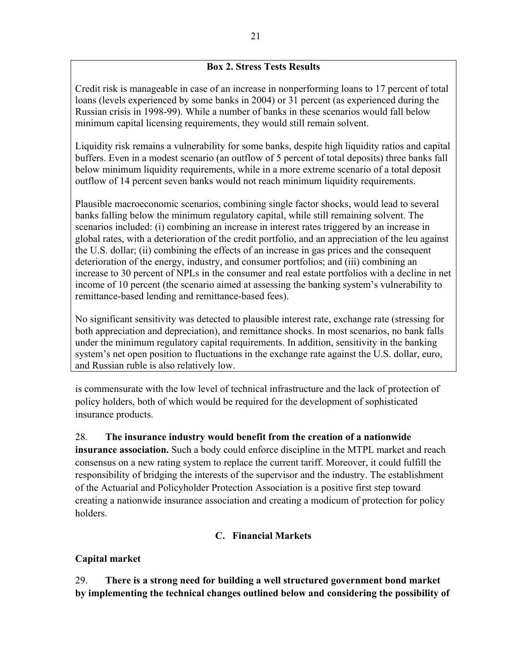#### **Box 2. Stress Tests Results**

Credit risk is manageable in case of an increase in nonperforming loans to 17 percent of total loans (levels experienced by some banks in 2004) or 31 percent (as experienced during the Russian crisis in 1998-99). While a number of banks in these scenarios would fall below minimum capital licensing requirements, they would still remain solvent.

Liquidity risk remains a vulnerability for some banks, despite high liquidity ratios and capital buffers. Even in a modest scenario (an outflow of 5 percent of total deposits) three banks fall below minimum liquidity requirements, while in a more extreme scenario of a total deposit outflow of 14 percent seven banks would not reach minimum liquidity requirements.

Plausible macroeconomic scenarios, combining single factor shocks, would lead to several banks falling below the minimum regulatory capital, while still remaining solvent. The scenarios included: (i) combining an increase in interest rates triggered by an increase in global rates, with a deterioration of the credit portfolio, and an appreciation of the leu against the U.S. dollar; (ii) combining the effects of an increase in gas prices and the consequent deterioration of the energy, industry, and consumer portfolios; and (iii) combining an increase to 30 percent of NPLs in the consumer and real estate portfolios with a decline in net income of 10 percent (the scenario aimed at assessing the banking system's vulnerability to remittance-based lending and remittance-based fees).

No significant sensitivity was detected to plausible interest rate, exchange rate (stressing for both appreciation and depreciation), and remittance shocks. In most scenarios, no bank falls under the minimum regulatory capital requirements. In addition, sensitivity in the banking system's net open position to fluctuations in the exchange rate against the U.S. dollar, euro, and Russian ruble is also relatively low.

is commensurate with the low level of technical infrastructure and the lack of protection of policy holders, both of which would be required for the development of sophisticated insurance products.

### 28. **The insurance industry would benefit from the creation of a nationwide**

**insurance association.** Such a body could enforce discipline in the MTPL market and reach consensus on a new rating system to replace the current tariff. Moreover, it could fulfill the responsibility of bridging the interests of the supervisor and the industry. The establishment of the Actuarial and Policyholder Protection Association is a positive first step toward creating a nationwide insurance association and creating a modicum of protection for policy holders.

### **C. Financial Markets**

### **Capital market**

29. **There is a strong need for building a well structured government bond market by implementing the technical changes outlined below and considering the possibility of**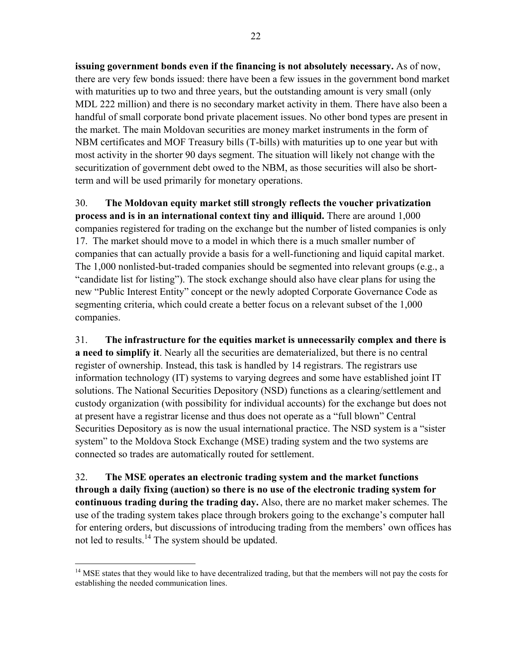**issuing government bonds even if the financing is not absolutely necessary.** As of now, there are very few bonds issued: there have been a few issues in the government bond market with maturities up to two and three years, but the outstanding amount is very small (only MDL 222 million) and there is no secondary market activity in them. There have also been a handful of small corporate bond private placement issues. No other bond types are present in the market. The main Moldovan securities are money market instruments in the form of NBM certificates and MOF Treasury bills (T-bills) with maturities up to one year but with most activity in the shorter 90 days segment. The situation will likely not change with the securitization of government debt owed to the NBM, as those securities will also be shortterm and will be used primarily for monetary operations.

30. **The Moldovan equity market still strongly reflects the voucher privatization process and is in an international context tiny and illiquid.** There are around 1,000 companies registered for trading on the exchange but the number of listed companies is only 17.The market should move to a model in which there is a much smaller number of companies that can actually provide a basis for a well-functioning and liquid capital market. The 1,000 nonlisted-but-traded companies should be segmented into relevant groups (e.g., a "candidate list for listing"). The stock exchange should also have clear plans for using the new "Public Interest Entity" concept or the newly adopted Corporate Governance Code as segmenting criteria, which could create a better focus on a relevant subset of the 1,000 companies.

31. **The infrastructure for the equities market is unnecessarily complex and there is a need to simplify it**. Nearly all the securities are dematerialized, but there is no central register of ownership. Instead, this task is handled by 14 registrars. The registrars use information technology (IT) systems to varying degrees and some have established joint IT solutions. The National Securities Depository (NSD) functions as a clearing/settlement and custody organization (with possibility for individual accounts) for the exchange but does not at present have a registrar license and thus does not operate as a "full blown" Central Securities Depository as is now the usual international practice. The NSD system is a "sister system" to the Moldova Stock Exchange (MSE) trading system and the two systems are connected so trades are automatically routed for settlement.

32. **The MSE operates an electronic trading system and the market functions through a daily fixing (auction) so there is no use of the electronic trading system for continuous trading during the trading day.** Also, there are no market maker schemes. The use of the trading system takes place through brokers going to the exchange's computer hall for entering orders, but discussions of introducing trading from the members' own offices has not led to results.<sup>14</sup> The system should be updated.

 $\overline{a}$ <sup>14</sup> MSE states that they would like to have decentralized trading, but that the members will not pay the costs for establishing the needed communication lines.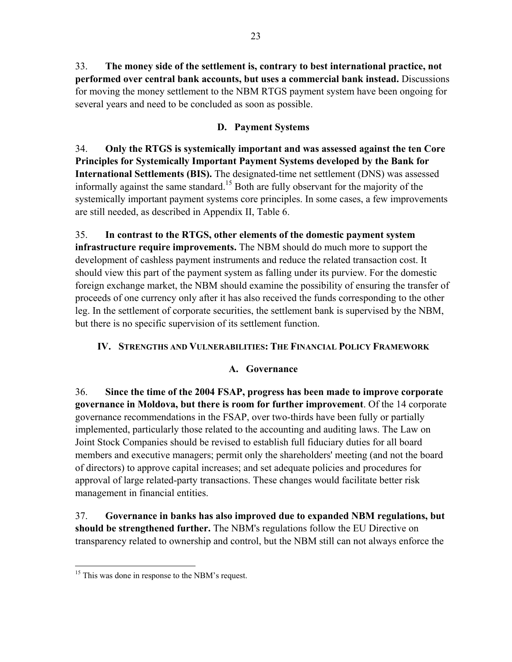33. **The money side of the settlement is, contrary to best international practice, not performed over central bank accounts, but uses a commercial bank instead.** Discussions for moving the money settlement to the NBM RTGS payment system have been ongoing for several years and need to be concluded as soon as possible.

### **D. Payment Systems**

34. **Only the RTGS is systemically important and was assessed against the ten Core Principles for Systemically Important Payment Systems developed by the Bank for International Settlements (BIS).** The designated-time net settlement (DNS) was assessed informally against the same standard.<sup>15</sup> Both are fully observant for the majority of the systemically important payment systems core principles. In some cases, a few improvements are still needed, as described in Appendix II, Table 6.

35. **In contrast to the RTGS, other elements of the domestic payment system infrastructure require improvements.** The NBM should do much more to support the development of cashless payment instruments and reduce the related transaction cost. It should view this part of the payment system as falling under its purview. For the domestic foreign exchange market, the NBM should examine the possibility of ensuring the transfer of proceeds of one currency only after it has also received the funds corresponding to the other leg. In the settlement of corporate securities, the settlement bank is supervised by the NBM, but there is no specific supervision of its settlement function.

### **IV. STRENGTHS AND VULNERABILITIES: THE FINANCIAL POLICY FRAMEWORK**

### **A. Governance**

36. **Since the time of the 2004 FSAP, progress has been made to improve corporate governance in Moldova, but there is room for further improvement**. Of the 14 corporate governance recommendations in the FSAP, over two-thirds have been fully or partially implemented, particularly those related to the accounting and auditing laws. The Law on Joint Stock Companies should be revised to establish full fiduciary duties for all board members and executive managers; permit only the shareholders' meeting (and not the board of directors) to approve capital increases; and set adequate policies and procedures for approval of large related-party transactions. These changes would facilitate better risk management in financial entities.

37. **Governance in banks has also improved due to expanded NBM regulations, but should be strengthened further.** The NBM's regulations follow the EU Directive on transparency related to ownership and control, but the NBM still can not always enforce the

<sup>1</sup> <sup>15</sup> This was done in response to the NBM's request.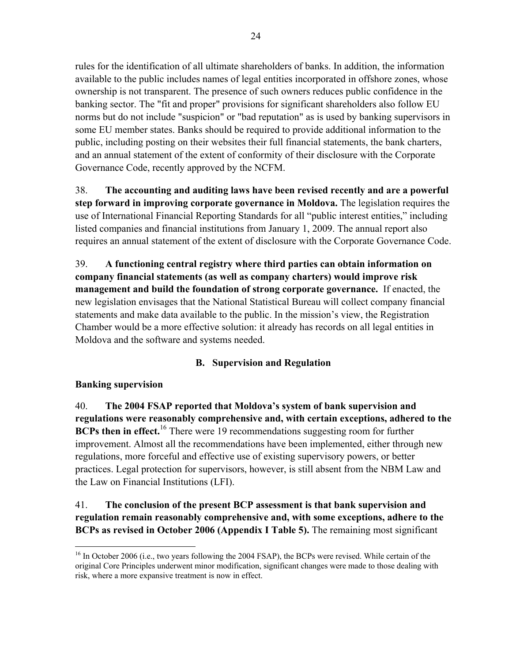rules for the identification of all ultimate shareholders of banks. In addition, the information available to the public includes names of legal entities incorporated in offshore zones, whose ownership is not transparent. The presence of such owners reduces public confidence in the banking sector. The "fit and proper" provisions for significant shareholders also follow EU norms but do not include "suspicion" or "bad reputation" as is used by banking supervisors in some EU member states. Banks should be required to provide additional information to the public, including posting on their websites their full financial statements, the bank charters, and an annual statement of the extent of conformity of their disclosure with the Corporate Governance Code, recently approved by the NCFM.

38. **The accounting and auditing laws have been revised recently and are a powerful step forward in improving corporate governance in Moldova.** The legislation requires the use of International Financial Reporting Standards for all "public interest entities," including listed companies and financial institutions from January 1, 2009. The annual report also requires an annual statement of the extent of disclosure with the Corporate Governance Code.

39. **A functioning central registry where third parties can obtain information on company financial statements (as well as company charters) would improve risk management and build the foundation of strong corporate governance.** If enacted, the new legislation envisages that the National Statistical Bureau will collect company financial statements and make data available to the public. In the mission's view, the Registration Chamber would be a more effective solution: it already has records on all legal entities in Moldova and the software and systems needed.

### **B. Supervision and Regulation**

#### **Banking supervision**

 $\overline{a}$ 

40. **The 2004 FSAP reported that Moldova's system of bank supervision and regulations were reasonably comprehensive and, with certain exceptions, adhered to the BCPs then in effect.**<sup>16</sup> There were 19 recommendations suggesting room for further improvement. Almost all the recommendations have been implemented, either through new regulations, more forceful and effective use of existing supervisory powers, or better practices. Legal protection for supervisors, however, is still absent from the NBM Law and the Law on Financial Institutions (LFI).

### 41. **The conclusion of the present BCP assessment is that bank supervision and regulation remain reasonably comprehensive and, with some exceptions, adhere to the BCPs as revised in October 2006 (Appendix I Table 5).** The remaining most significant

<sup>&</sup>lt;sup>16</sup> In October 2006 (i.e., two years following the 2004 FSAP), the BCPs were revised. While certain of the original Core Principles underwent minor modification, significant changes were made to those dealing with risk, where a more expansive treatment is now in effect.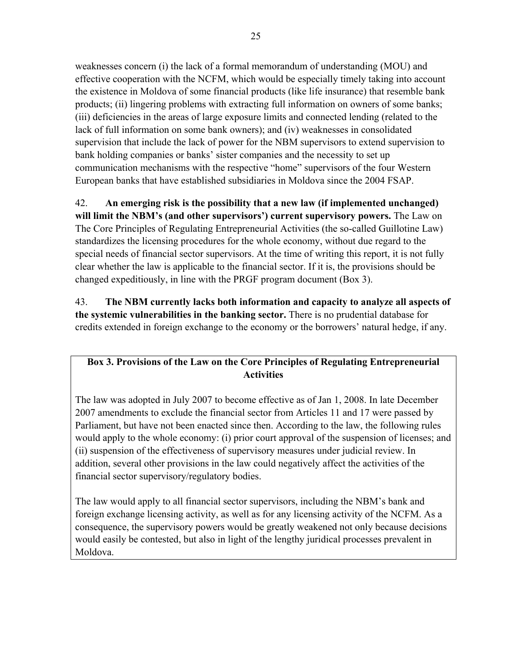weaknesses concern (i) the lack of a formal memorandum of understanding (MOU) and effective cooperation with the NCFM, which would be especially timely taking into account the existence in Moldova of some financial products (like life insurance) that resemble bank products; (ii) lingering problems with extracting full information on owners of some banks; (iii) deficiencies in the areas of large exposure limits and connected lending (related to the lack of full information on some bank owners); and (iv) weaknesses in consolidated supervision that include the lack of power for the NBM supervisors to extend supervision to bank holding companies or banks' sister companies and the necessity to set up communication mechanisms with the respective "home" supervisors of the four Western European banks that have established subsidiaries in Moldova since the 2004 FSAP.

42. **An emerging risk is the possibility that a new law (if implemented unchanged) will limit the NBM's (and other supervisors') current supervisory powers.** The Law on The Core Principles of Regulating Entrepreneurial Activities (the so-called Guillotine Law) standardizes the licensing procedures for the whole economy, without due regard to the special needs of financial sector supervisors. At the time of writing this report, it is not fully clear whether the law is applicable to the financial sector. If it is, the provisions should be changed expeditiously, in line with the PRGF program document (Box 3).

43. **The NBM currently lacks both information and capacity to analyze all aspects of the systemic vulnerabilities in the banking sector.** There is no prudential database for credits extended in foreign exchange to the economy or the borrowers' natural hedge, if any.

### **Box 3. Provisions of the Law on the Core Principles of Regulating Entrepreneurial Activities**

The law was adopted in July 2007 to become effective as of Jan 1, 2008. In late December 2007 amendments to exclude the financial sector from Articles 11 and 17 were passed by Parliament, but have not been enacted since then. According to the law, the following rules would apply to the whole economy: (i) prior court approval of the suspension of licenses; and (ii) suspension of the effectiveness of supervisory measures under judicial review. In addition, several other provisions in the law could negatively affect the activities of the financial sector supervisory/regulatory bodies.

The law would apply to all financial sector supervisors, including the NBM's bank and foreign exchange licensing activity, as well as for any licensing activity of the NCFM. As a consequence, the supervisory powers would be greatly weakened not only because decisions would easily be contested, but also in light of the lengthy juridical processes prevalent in Moldova.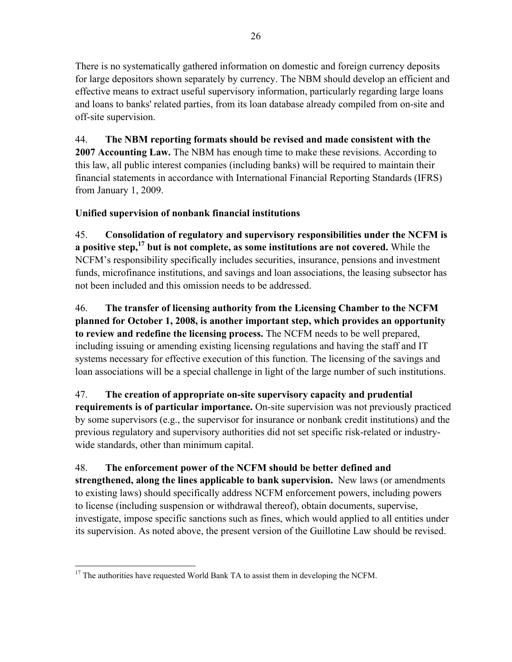There is no systematically gathered information on domestic and foreign currency deposits for large depositors shown separately by currency. The NBM should develop an efficient and effective means to extract useful supervisory information, particularly regarding large loans and loans to banks' related parties, from its loan database already compiled from on-site and off-site supervision.

44. **The NBM reporting formats should be revised and made consistent with the 2007 Accounting Law.** The NBM has enough time to make these revisions. According to this law, all public interest companies (including banks) will be required to maintain their financial statements in accordance with International Financial Reporting Standards (IFRS) from January 1, 2009.

### **Unified supervision of nonbank financial institutions**

45. **Consolidation of regulatory and supervisory responsibilities under the NCFM is a positive step,17 but is not complete, as some institutions are not covered.** While the NCFM's responsibility specifically includes securities, insurance, pensions and investment funds, microfinance institutions, and savings and loan associations, the leasing subsector has not been included and this omission needs to be addressed.

46. **The transfer of licensing authority from the Licensing Chamber to the NCFM planned for October 1, 2008, is another important step, which provides an opportunity to review and redefine the licensing process.** The NCFM needs to be well prepared, including issuing or amending existing licensing regulations and having the staff and IT systems necessary for effective execution of this function. The licensing of the savings and loan associations will be a special challenge in light of the large number of such institutions.

# 47. **The creation of appropriate on-site supervisory capacity and prudential**

**requirements is of particular importance.** On-site supervision was not previously practiced by some supervisors (e.g., the supervisor for insurance or nonbank credit institutions) and the previous regulatory and supervisory authorities did not set specific risk-related or industrywide standards, other than minimum capital.

# 48. **The enforcement power of the NCFM should be better defined and**

**strengthened, along the lines applicable to bank supervision.** New laws (or amendments to existing laws) should specifically address NCFM enforcement powers, including powers to license (including suspension or withdrawal thereof), obtain documents, supervise, investigate, impose specific sanctions such as fines, which would applied to all entities under its supervision. As noted above, the present version of the Guillotine Law should be revised.

 $\overline{a}$  $17$  The authorities have requested World Bank TA to assist them in developing the NCFM.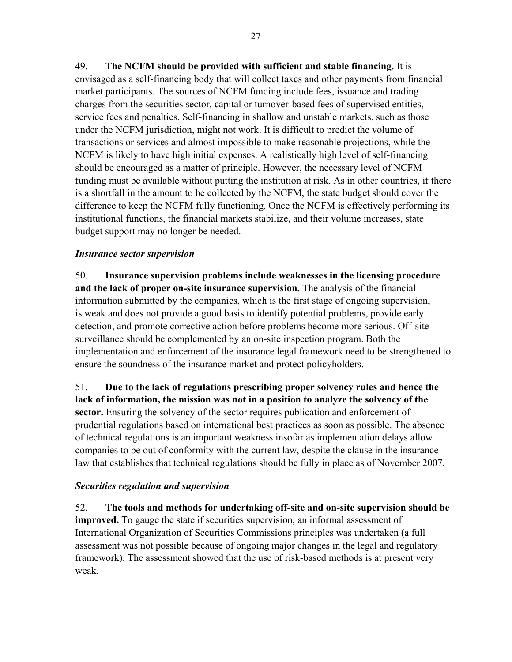49. **The NCFM should be provided with sufficient and stable financing.** It is envisaged as a self-financing body that will collect taxes and other payments from financial market participants. The sources of NCFM funding include fees, issuance and trading charges from the securities sector, capital or turnover-based fees of supervised entities, service fees and penalties. Self-financing in shallow and unstable markets, such as those under the NCFM jurisdiction, might not work. It is difficult to predict the volume of transactions or services and almost impossible to make reasonable projections, while the NCFM is likely to have high initial expenses. A realistically high level of self-financing should be encouraged as a matter of principle. However, the necessary level of NCFM funding must be available without putting the institution at risk. As in other countries, if there is a shortfall in the amount to be collected by the NCFM, the state budget should cover the difference to keep the NCFM fully functioning. Once the NCFM is effectively performing its institutional functions, the financial markets stabilize, and their volume increases, state budget support may no longer be needed.

#### *Insurance sector supervision*

50. **Insurance supervision problems include weaknesses in the licensing procedure and the lack of proper on-site insurance supervision.** The analysis of the financial information submitted by the companies, which is the first stage of ongoing supervision, is weak and does not provide a good basis to identify potential problems, provide early detection, and promote corrective action before problems become more serious. Off-site surveillance should be complemented by an on-site inspection program. Both the implementation and enforcement of the insurance legal framework need to be strengthened to ensure the soundness of the insurance market and protect policyholders.

51. **Due to the lack of regulations prescribing proper solvency rules and hence the lack of information, the mission was not in a position to analyze the solvency of the sector.** Ensuring the solvency of the sector requires publication and enforcement of prudential regulations based on international best practices as soon as possible. The absence of technical regulations is an important weakness insofar as implementation delays allow companies to be out of conformity with the current law, despite the clause in the insurance law that establishes that technical regulations should be fully in place as of November 2007.

#### *Securities regulation and supervision*

52. **The tools and methods for undertaking off-site and on-site supervision should be improved.** To gauge the state if securities supervision, an informal assessment of International Organization of Securities Commissions principles was undertaken (a full assessment was not possible because of ongoing major changes in the legal and regulatory framework). The assessment showed that the use of risk-based methods is at present very weak.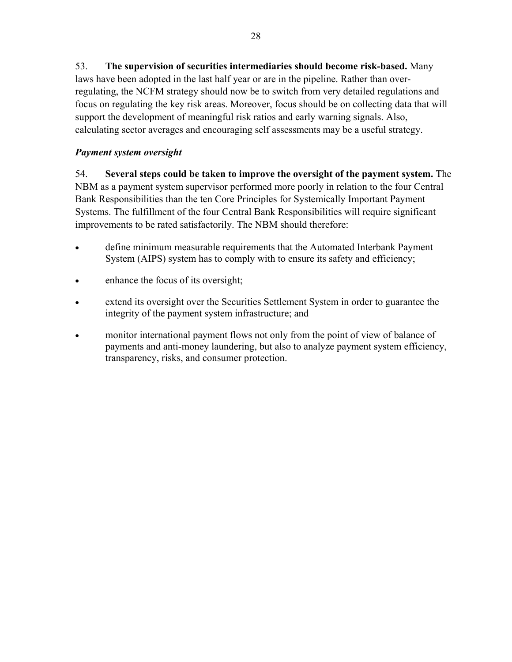53. **The supervision of securities intermediaries should become risk-based.** Many laws have been adopted in the last half year or are in the pipeline. Rather than overregulating, the NCFM strategy should now be to switch from very detailed regulations and focus on regulating the key risk areas. Moreover, focus should be on collecting data that will support the development of meaningful risk ratios and early warning signals. Also, calculating sector averages and encouraging self assessments may be a useful strategy.

### *Payment system oversight*

54. **Several steps could be taken to improve the oversight of the payment system.** The NBM as a payment system supervisor performed more poorly in relation to the four Central Bank Responsibilities than the ten Core Principles for Systemically Important Payment Systems. The fulfillment of the four Central Bank Responsibilities will require significant improvements to be rated satisfactorily. The NBM should therefore:

- define minimum measurable requirements that the Automated Interbank Payment System (AIPS) system has to comply with to ensure its safety and efficiency;
- enhance the focus of its oversight;
- extend its oversight over the Securities Settlement System in order to guarantee the integrity of the payment system infrastructure; and
- monitor international payment flows not only from the point of view of balance of payments and anti-money laundering, but also to analyze payment system efficiency, transparency, risks, and consumer protection.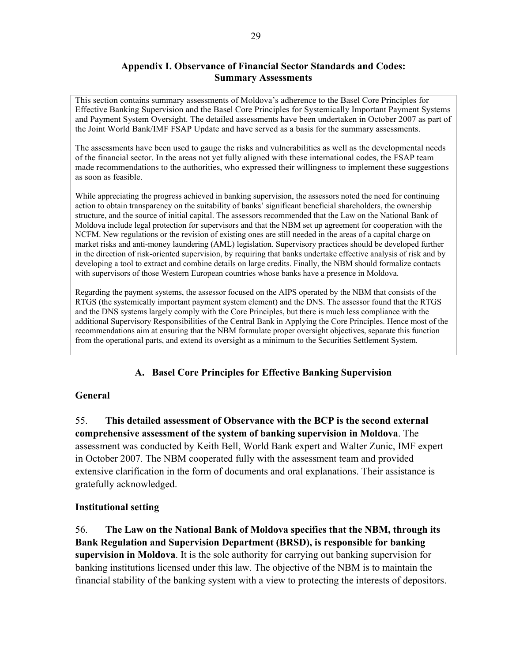#### **Appendix I. Observance of Financial Sector Standards and Codes: Summary Assessments**

This section contains summary assessments of Moldova's adherence to the Basel Core Principles for Effective Banking Supervision and the Basel Core Principles for Systemically Important Payment Systems and Payment System Oversight. The detailed assessments have been undertaken in October 2007 as part of the Joint World Bank/IMF FSAP Update and have served as a basis for the summary assessments.

The assessments have been used to gauge the risks and vulnerabilities as well as the developmental needs of the financial sector. In the areas not yet fully aligned with these international codes, the FSAP team made recommendations to the authorities, who expressed their willingness to implement these suggestions as soon as feasible.

While appreciating the progress achieved in banking supervision, the assessors noted the need for continuing action to obtain transparency on the suitability of banks' significant beneficial shareholders, the ownership structure, and the source of initial capital. The assessors recommended that the Law on the National Bank of Moldova include legal protection for supervisors and that the NBM set up agreement for cooperation with the NCFM. New regulations or the revision of existing ones are still needed in the areas of a capital charge on market risks and anti-money laundering (AML) legislation. Supervisory practices should be developed further in the direction of risk-oriented supervision, by requiring that banks undertake effective analysis of risk and by developing a tool to extract and combine details on large credits. Finally, the NBM should formalize contacts with supervisors of those Western European countries whose banks have a presence in Moldova.

Regarding the payment systems, the assessor focused on the AIPS operated by the NBM that consists of the RTGS (the systemically important payment system element) and the DNS. The assessor found that the RTGS and the DNS systems largely comply with the Core Principles, but there is much less compliance with the additional Supervisory Responsibilities of the Central Bank in Applying the Core Principles. Hence most of the recommendations aim at ensuring that the NBM formulate proper oversight objectives, separate this function from the operational parts, and extend its oversight as a minimum to the Securities Settlement System.

### **A. Basel Core Principles for Effective Banking Supervision**

#### **General**

55. **This detailed assessment of Observance with the BCP is the second external comprehensive assessment of the system of banking supervision in Moldova**. The assessment was conducted by Keith Bell, World Bank expert and Walter Zunic, IMF expert in October 2007. The NBM cooperated fully with the assessment team and provided extensive clarification in the form of documents and oral explanations. Their assistance is gratefully acknowledged.

#### **Institutional setting**

56. **The Law on the National Bank of Moldova specifies that the NBM, through its Bank Regulation and Supervision Department (BRSD), is responsible for banking supervision in Moldova**. It is the sole authority for carrying out banking supervision for banking institutions licensed under this law. The objective of the NBM is to maintain the financial stability of the banking system with a view to protecting the interests of depositors.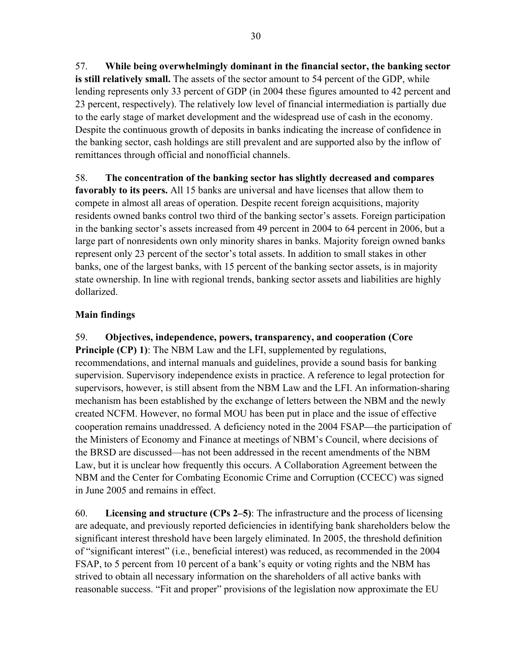57. **While being overwhelmingly dominant in the financial sector, the banking sector is still relatively small.** The assets of the sector amount to 54 percent of the GDP, while lending represents only 33 percent of GDP (in 2004 these figures amounted to 42 percent and 23 percent, respectively). The relatively low level of financial intermediation is partially due to the early stage of market development and the widespread use of cash in the economy. Despite the continuous growth of deposits in banks indicating the increase of confidence in the banking sector, cash holdings are still prevalent and are supported also by the inflow of remittances through official and nonofficial channels.

58. **The concentration of the banking sector has slightly decreased and compares favorably to its peers.** All 15 banks are universal and have licenses that allow them to compete in almost all areas of operation. Despite recent foreign acquisitions, majority residents owned banks control two third of the banking sector's assets. Foreign participation in the banking sector's assets increased from 49 percent in 2004 to 64 percent in 2006, but a large part of nonresidents own only minority shares in banks. Majority foreign owned banks represent only 23 percent of the sector's total assets. In addition to small stakes in other banks, one of the largest banks, with 15 percent of the banking sector assets, is in majority state ownership. In line with regional trends, banking sector assets and liabilities are highly dollarized.

### **Main findings**

59. **Objectives, independence, powers, transparency, and cooperation (Core Principle (CP) 1):** The NBM Law and the LFI, supplemented by regulations, recommendations, and internal manuals and guidelines, provide a sound basis for banking supervision. Supervisory independence exists in practice. A reference to legal protection for supervisors, however, is still absent from the NBM Law and the LFI. An information-sharing mechanism has been established by the exchange of letters between the NBM and the newly created NCFM. However, no formal MOU has been put in place and the issue of effective cooperation remains unaddressed. A deficiency noted in the 2004 FSAP—the participation of the Ministers of Economy and Finance at meetings of NBM's Council, where decisions of the BRSD are discussed—has not been addressed in the recent amendments of the NBM Law, but it is unclear how frequently this occurs. A Collaboration Agreement between the NBM and the Center for Combating Economic Crime and Corruption (CCECC) was signed in June 2005 and remains in effect.

60. **Licensing and structure (CPs 2–5)**: The infrastructure and the process of licensing are adequate, and previously reported deficiencies in identifying bank shareholders below the significant interest threshold have been largely eliminated. In 2005, the threshold definition of "significant interest" (i.e., beneficial interest) was reduced, as recommended in the 2004 FSAP, to 5 percent from 10 percent of a bank's equity or voting rights and the NBM has strived to obtain all necessary information on the shareholders of all active banks with reasonable success. "Fit and proper" provisions of the legislation now approximate the EU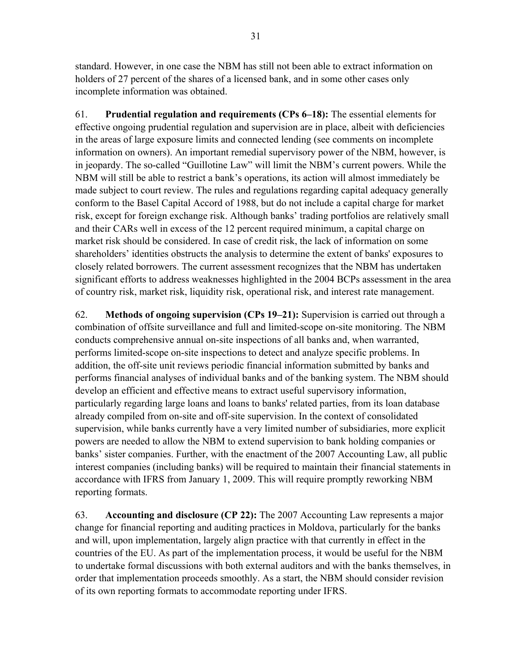standard. However, in one case the NBM has still not been able to extract information on holders of 27 percent of the shares of a licensed bank, and in some other cases only incomplete information was obtained.

61. **Prudential regulation and requirements (CPs 6–18):** The essential elements for effective ongoing prudential regulation and supervision are in place, albeit with deficiencies in the areas of large exposure limits and connected lending (see comments on incomplete information on owners). An important remedial supervisory power of the NBM, however, is in jeopardy. The so-called "Guillotine Law" will limit the NBM's current powers. While the NBM will still be able to restrict a bank's operations, its action will almost immediately be made subject to court review. The rules and regulations regarding capital adequacy generally conform to the Basel Capital Accord of 1988, but do not include a capital charge for market risk, except for foreign exchange risk. Although banks' trading portfolios are relatively small and their CARs well in excess of the 12 percent required minimum, a capital charge on market risk should be considered. In case of credit risk, the lack of information on some shareholders' identities obstructs the analysis to determine the extent of banks' exposures to closely related borrowers. The current assessment recognizes that the NBM has undertaken significant efforts to address weaknesses highlighted in the 2004 BCPs assessment in the area of country risk, market risk, liquidity risk, operational risk, and interest rate management.

62. **Methods of ongoing supervision (CPs 19–21):** Supervision is carried out through a combination of offsite surveillance and full and limited-scope on-site monitoring. The NBM conducts comprehensive annual on-site inspections of all banks and, when warranted, performs limited-scope on-site inspections to detect and analyze specific problems. In addition, the off-site unit reviews periodic financial information submitted by banks and performs financial analyses of individual banks and of the banking system. The NBM should develop an efficient and effective means to extract useful supervisory information, particularly regarding large loans and loans to banks' related parties, from its loan database already compiled from on-site and off-site supervision. In the context of consolidated supervision, while banks currently have a very limited number of subsidiaries, more explicit powers are needed to allow the NBM to extend supervision to bank holding companies or banks' sister companies. Further, with the enactment of the 2007 Accounting Law, all public interest companies (including banks) will be required to maintain their financial statements in accordance with IFRS from January 1, 2009. This will require promptly reworking NBM reporting formats.

63. **Accounting and disclosure (CP 22):** The 2007 Accounting Law represents a major change for financial reporting and auditing practices in Moldova, particularly for the banks and will, upon implementation, largely align practice with that currently in effect in the countries of the EU. As part of the implementation process, it would be useful for the NBM to undertake formal discussions with both external auditors and with the banks themselves, in order that implementation proceeds smoothly. As a start, the NBM should consider revision of its own reporting formats to accommodate reporting under IFRS.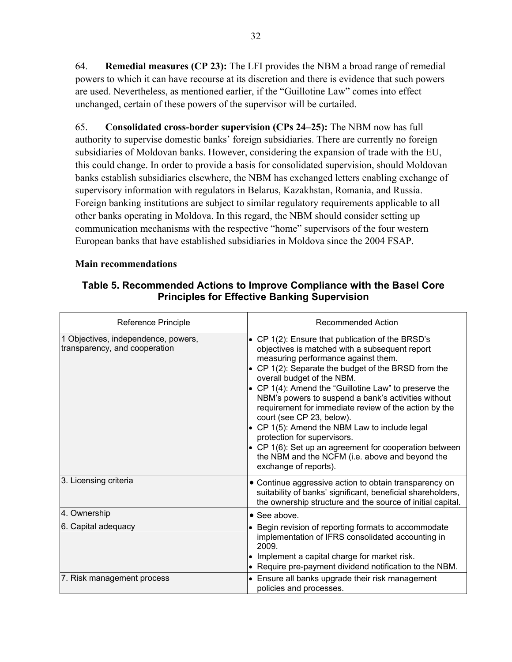64. **Remedial measures (CP 23):** The LFI provides the NBM a broad range of remedial powers to which it can have recourse at its discretion and there is evidence that such powers are used. Nevertheless, as mentioned earlier, if the "Guillotine Law" comes into effect unchanged, certain of these powers of the supervisor will be curtailed.

65. **Consolidated cross-border supervision (CPs 24–25):** The NBM now has full authority to supervise domestic banks' foreign subsidiaries. There are currently no foreign subsidiaries of Moldovan banks. However, considering the expansion of trade with the EU, this could change. In order to provide a basis for consolidated supervision, should Moldovan banks establish subsidiaries elsewhere, the NBM has exchanged letters enabling exchange of supervisory information with regulators in Belarus, Kazakhstan, Romania, and Russia. Foreign banking institutions are subject to similar regulatory requirements applicable to all other banks operating in Moldova. In this regard, the NBM should consider setting up communication mechanisms with the respective "home" supervisors of the four western European banks that have established subsidiaries in Moldova since the 2004 FSAP.

#### **Main recommendations**

#### **Table 5. Recommended Actions to Improve Compliance with the Basel Core Principles for Effective Banking Supervision**

| Reference Principle                                                  | Recommended Action                                                                                                                                                                                                                                                                                                                                                                                                                                                                                                                                                                                                                                         |
|----------------------------------------------------------------------|------------------------------------------------------------------------------------------------------------------------------------------------------------------------------------------------------------------------------------------------------------------------------------------------------------------------------------------------------------------------------------------------------------------------------------------------------------------------------------------------------------------------------------------------------------------------------------------------------------------------------------------------------------|
| 1 Objectives, independence, powers,<br>transparency, and cooperation | • CP 1(2): Ensure that publication of the BRSD's<br>objectives is matched with a subsequent report<br>measuring performance against them.<br>• CP 1(2): Separate the budget of the BRSD from the<br>overall budget of the NBM.<br>• CP 1(4): Amend the "Guillotine Law" to preserve the<br>NBM's powers to suspend a bank's activities without<br>requirement for immediate review of the action by the<br>court (see CP 23, below).<br>• CP 1(5): Amend the NBM Law to include legal<br>protection for supervisors.<br>• CP 1(6): Set up an agreement for cooperation between<br>the NBM and the NCFM (i.e. above and beyond the<br>exchange of reports). |
| 3. Licensing criteria                                                | • Continue aggressive action to obtain transparency on<br>suitability of banks' significant, beneficial shareholders,<br>the ownership structure and the source of initial capital.                                                                                                                                                                                                                                                                                                                                                                                                                                                                        |
| 4. Ownership                                                         | • See above.                                                                                                                                                                                                                                                                                                                                                                                                                                                                                                                                                                                                                                               |
| 6. Capital adequacy                                                  | • Begin revision of reporting formats to accommodate<br>implementation of IFRS consolidated accounting in<br>2009.<br>• Implement a capital charge for market risk.<br>• Require pre-payment dividend notification to the NBM.                                                                                                                                                                                                                                                                                                                                                                                                                             |
| 7. Risk management process                                           | • Ensure all banks upgrade their risk management<br>policies and processes.                                                                                                                                                                                                                                                                                                                                                                                                                                                                                                                                                                                |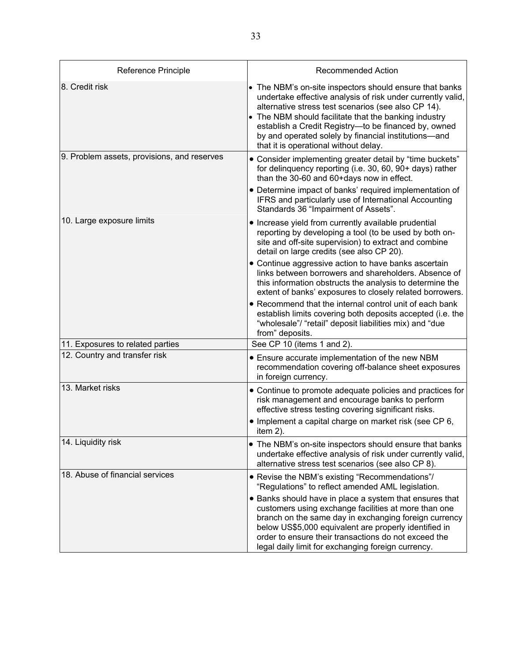| Reference Principle                                               | <b>Recommended Action</b>                                                                                                                                                                                                                                                                                                                                                                                                                                                                                                                                                                                                                                           |
|-------------------------------------------------------------------|---------------------------------------------------------------------------------------------------------------------------------------------------------------------------------------------------------------------------------------------------------------------------------------------------------------------------------------------------------------------------------------------------------------------------------------------------------------------------------------------------------------------------------------------------------------------------------------------------------------------------------------------------------------------|
| 8. Credit risk                                                    | • The NBM's on-site inspectors should ensure that banks<br>undertake effective analysis of risk under currently valid,<br>alternative stress test scenarios (see also CP 14).<br>• The NBM should facilitate that the banking industry<br>establish a Credit Registry-to be financed by, owned<br>by and operated solely by financial institutions-and<br>that it is operational without delay.                                                                                                                                                                                                                                                                     |
| 9. Problem assets, provisions, and reserves                       | • Consider implementing greater detail by "time buckets"<br>for delinquency reporting (i.e. 30, 60, 90+ days) rather<br>than the 30-60 and 60+days now in effect.<br>• Determine impact of banks' required implementation of<br>IFRS and particularly use of International Accounting<br>Standards 36 "Impairment of Assets".                                                                                                                                                                                                                                                                                                                                       |
| 10. Large exposure limits                                         | • Increase yield from currently available prudential<br>reporting by developing a tool (to be used by both on-<br>site and off-site supervision) to extract and combine<br>detail on large credits (see also CP 20).<br>• Continue aggressive action to have banks ascertain<br>links between borrowers and shareholders. Absence of<br>this information obstructs the analysis to determine the<br>extent of banks' exposures to closely related borrowers.<br>• Recommend that the internal control unit of each bank<br>establish limits covering both deposits accepted (i.e. the<br>"wholesale"/ "retail" deposit liabilities mix) and "due<br>from" deposits. |
| 11. Exposures to related parties<br>12. Country and transfer risk | See CP 10 (items 1 and 2).<br>• Ensure accurate implementation of the new NBM<br>recommendation covering off-balance sheet exposures<br>in foreign currency.                                                                                                                                                                                                                                                                                                                                                                                                                                                                                                        |
| 13. Market risks                                                  | • Continue to promote adequate policies and practices for<br>risk management and encourage banks to perform<br>effective stress testing covering significant risks.<br>• Implement a capital charge on market risk (see CP 6,<br>item 2).                                                                                                                                                                                                                                                                                                                                                                                                                           |
| 14. Liquidity risk                                                | • The NBM's on-site inspectors should ensure that banks<br>undertake effective analysis of risk under currently valid,<br>alternative stress test scenarios (see also CP 8).                                                                                                                                                                                                                                                                                                                                                                                                                                                                                        |
| 18. Abuse of financial services                                   | • Revise the NBM's existing "Recommendations"/<br>"Regulations" to reflect amended AML legislation.<br>• Banks should have in place a system that ensures that<br>customers using exchange facilities at more than one<br>branch on the same day in exchanging foreign currency<br>below US\$5,000 equivalent are properly identified in<br>order to ensure their transactions do not exceed the<br>legal daily limit for exchanging foreign currency.                                                                                                                                                                                                              |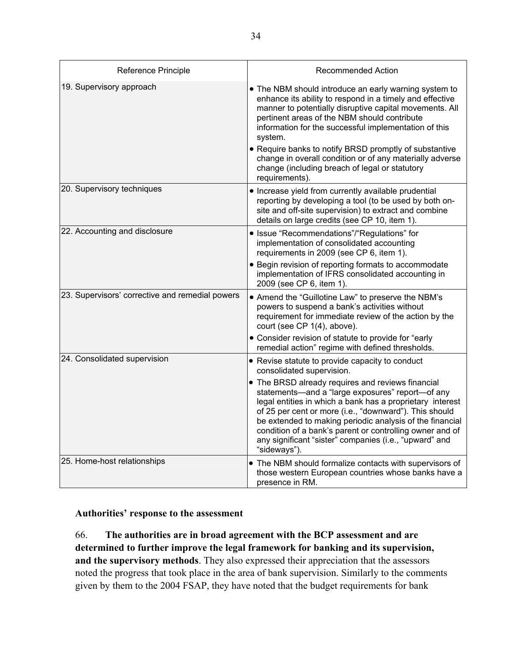| Reference Principle                             | Recommended Action                                                                                                                                                                                                                                                                                                                                                                                                             |
|-------------------------------------------------|--------------------------------------------------------------------------------------------------------------------------------------------------------------------------------------------------------------------------------------------------------------------------------------------------------------------------------------------------------------------------------------------------------------------------------|
| 19. Supervisory approach                        | . The NBM should introduce an early warning system to<br>enhance its ability to respond in a timely and effective<br>manner to potentially disruptive capital movements. All<br>pertinent areas of the NBM should contribute<br>information for the successful implementation of this<br>system.<br>• Require banks to notify BRSD promptly of substantive                                                                     |
|                                                 | change in overall condition or of any materially adverse<br>change (including breach of legal or statutory<br>requirements).                                                                                                                                                                                                                                                                                                   |
| 20. Supervisory techniques                      | • Increase yield from currently available prudential<br>reporting by developing a tool (to be used by both on-<br>site and off-site supervision) to extract and combine<br>details on large credits (see CP 10, item 1).                                                                                                                                                                                                       |
| 22. Accounting and disclosure                   | · Issue "Recommendations"/"Regulations" for<br>implementation of consolidated accounting<br>requirements in 2009 (see CP 6, item 1).                                                                                                                                                                                                                                                                                           |
|                                                 | • Begin revision of reporting formats to accommodate<br>implementation of IFRS consolidated accounting in<br>2009 (see CP 6, item 1).                                                                                                                                                                                                                                                                                          |
| 23. Supervisors' corrective and remedial powers | • Amend the "Guillotine Law" to preserve the NBM's<br>powers to suspend a bank's activities without<br>requirement for immediate review of the action by the<br>court (see CP 1(4), above).                                                                                                                                                                                                                                    |
|                                                 | • Consider revision of statute to provide for "early<br>remedial action" regime with defined thresholds.                                                                                                                                                                                                                                                                                                                       |
| 24. Consolidated supervision                    | • Revise statute to provide capacity to conduct<br>consolidated supervision.                                                                                                                                                                                                                                                                                                                                                   |
|                                                 | • The BRSD already requires and reviews financial<br>statements-and a "large exposures" report-of any<br>legal entities in which a bank has a proprietary interest<br>of 25 per cent or more (i.e., "downward"). This should<br>be extended to making periodic analysis of the financial<br>condition of a bank's parent or controlling owner and of<br>any significant "sister" companies (i.e., "upward" and<br>"sideways"). |
| 25. Home-host relationships                     | • The NBM should formalize contacts with supervisors of<br>those western European countries whose banks have a<br>presence in RM.                                                                                                                                                                                                                                                                                              |

#### **Authorities' response to the assessment**

66. **The authorities are in broad agreement with the BCP assessment and are determined to further improve the legal framework for banking and its supervision, and the supervisory methods**. They also expressed their appreciation that the assessors noted the progress that took place in the area of bank supervision. Similarly to the comments given by them to the 2004 FSAP, they have noted that the budget requirements for bank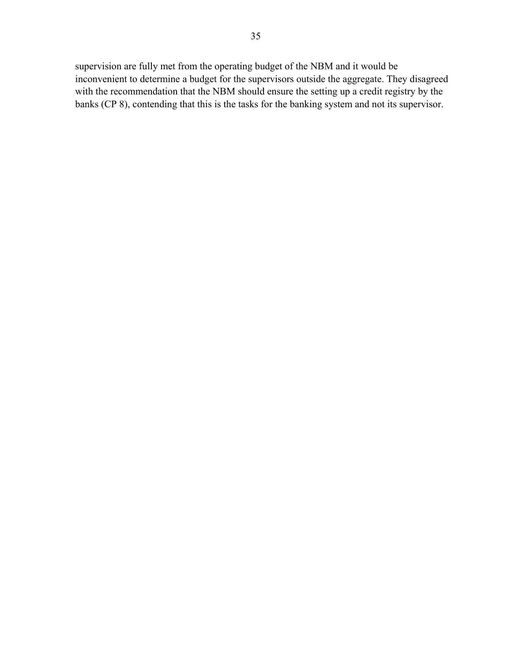supervision are fully met from the operating budget of the NBM and it would be inconvenient to determine a budget for the supervisors outside the aggregate. They disagreed with the recommendation that the NBM should ensure the setting up a credit registry by the banks (CP 8), contending that this is the tasks for the banking system and not its supervisor.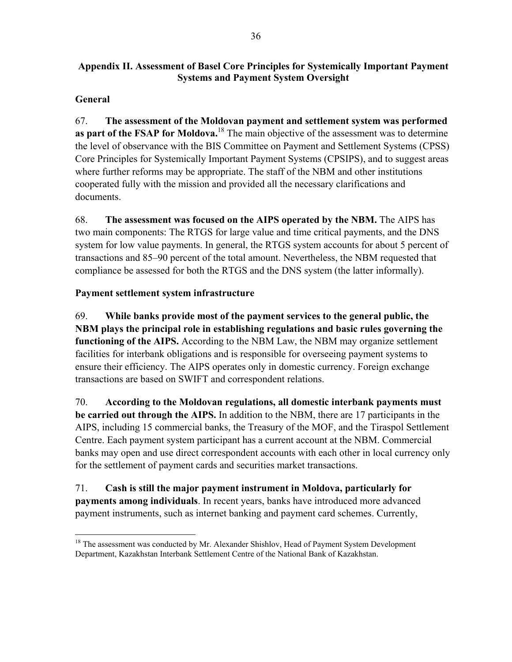#### **Appendix II. Assessment of Basel Core Principles for Systemically Important Payment Systems and Payment System Oversight**

### **General**

67. **The assessment of the Moldovan payment and settlement system was performed as part of the FSAP for Moldova.**18 The main objective of the assessment was to determine the level of observance with the BIS Committee on Payment and Settlement Systems (CPSS) Core Principles for Systemically Important Payment Systems (CPSIPS), and to suggest areas where further reforms may be appropriate. The staff of the NBM and other institutions cooperated fully with the mission and provided all the necessary clarifications and documents.

68. **The assessment was focused on the AIPS operated by the NBM.** The AIPS has two main components: The RTGS for large value and time critical payments, and the DNS system for low value payments. In general, the RTGS system accounts for about 5 percent of transactions and 85–90 percent of the total amount. Nevertheless, the NBM requested that compliance be assessed for both the RTGS and the DNS system (the latter informally).

### **Payment settlement system infrastructure**

69. **While banks provide most of the payment services to the general public, the NBM plays the principal role in establishing regulations and basic rules governing the functioning of the AIPS.** According to the NBM Law, the NBM may organize settlement facilities for interbank obligations and is responsible for overseeing payment systems to ensure their efficiency. The AIPS operates only in domestic currency. Foreign exchange transactions are based on SWIFT and correspondent relations.

70. **According to the Moldovan regulations, all domestic interbank payments must be carried out through the AIPS.** In addition to the NBM, there are 17 participants in the AIPS, including 15 commercial banks, the Treasury of the MOF, and the Tiraspol Settlement Centre. Each payment system participant has a current account at the NBM. Commercial banks may open and use direct correspondent accounts with each other in local currency only for the settlement of payment cards and securities market transactions.

71. **Cash is still the major payment instrument in Moldova, particularly for payments among individuals**. In recent years, banks have introduced more advanced payment instruments, such as internet banking and payment card schemes. Currently,

 $\overline{a}$ <sup>18</sup> The assessment was conducted by Mr. Alexander Shishlov, Head of Payment System Development Department, Kazakhstan Interbank Settlement Centre of the National Bank of Kazakhstan.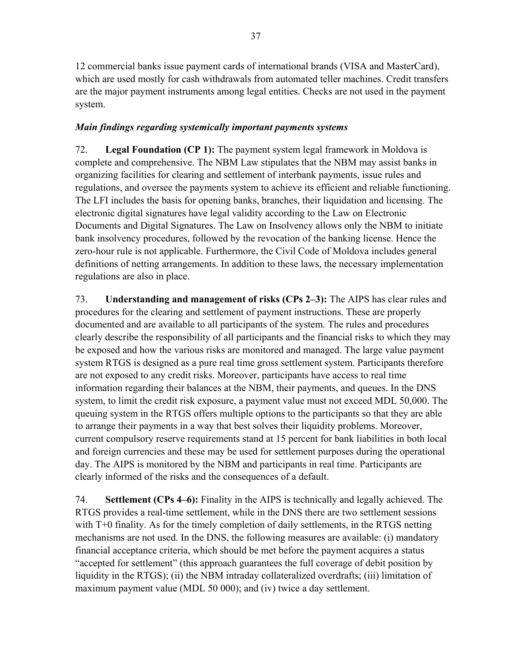12 commercial banks issue payment cards of international brands (VISA and MasterCard), which are used mostly for cash withdrawals from automated teller machines. Credit transfers are the major payment instruments among legal entities. Checks are not used in the payment system.

#### *Main findings regarding systemically important payments systems*

72. **Legal Foundation (CP 1):** The payment system legal framework in Moldova is complete and comprehensive. The NBM Law stipulates that the NBM may assist banks in organizing facilities for clearing and settlement of interbank payments, issue rules and regulations, and oversee the payments system to achieve its efficient and reliable functioning. The LFI includes the basis for opening banks, branches, their liquidation and licensing. The electronic digital signatures have legal validity according to the Law on Electronic Documents and Digital Signatures. The Law on Insolvency allows only the NBM to initiate bank insolvency procedures, followed by the revocation of the banking license. Hence the zero-hour rule is not applicable. Furthermore, the Civil Code of Moldova includes general definitions of netting arrangements. In addition to these laws, the necessary implementation regulations are also in place.

73. **Understanding and management of risks (CPs 2–3):** The AIPS has clear rules and procedures for the clearing and settlement of payment instructions. These are properly documented and are available to all participants of the system. The rules and procedures clearly describe the responsibility of all participants and the financial risks to which they may be exposed and how the various risks are monitored and managed. The large value payment system RTGS is designed as a pure real time gross settlement system. Participants therefore are not exposed to any credit risks. Moreover, participants have access to real time information regarding their balances at the NBM, their payments, and queues. In the DNS system, to limit the credit risk exposure, a payment value must not exceed MDL 50,000. The queuing system in the RTGS offers multiple options to the participants so that they are able to arrange their payments in a way that best solves their liquidity problems. Moreover, current compulsory reserve requirements stand at 15 percent for bank liabilities in both local and foreign currencies and these may be used for settlement purposes during the operational day. The AIPS is monitored by the NBM and participants in real time. Participants are clearly informed of the risks and the consequences of a default.

74. **Settlement (CPs 4–6):** Finality in the AIPS is technically and legally achieved. The RTGS provides a real-time settlement, while in the DNS there are two settlement sessions with T+0 finality. As for the timely completion of daily settlements, in the RTGS netting mechanisms are not used. In the DNS, the following measures are available: (i) mandatory financial acceptance criteria, which should be met before the payment acquires a status "accepted for settlement" (this approach guarantees the full coverage of debit position by liquidity in the RTGS); (ii) the NBM intraday collateralized overdrafts; (iii) limitation of maximum payment value (MDL 50 000); and (iv) twice a day settlement.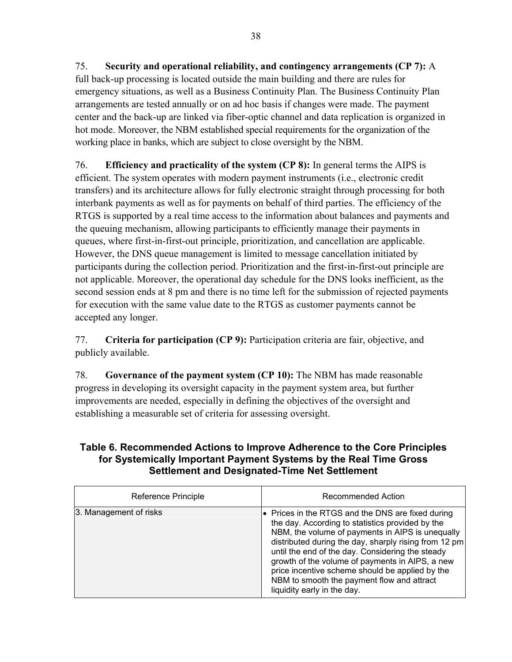75. **Security and operational reliability, and contingency arrangements (CP 7):** A full back-up processing is located outside the main building and there are rules for emergency situations, as well as a Business Continuity Plan. The Business Continuity Plan arrangements are tested annually or on ad hoc basis if changes were made. The payment center and the back-up are linked via fiber-optic channel and data replication is organized in hot mode. Moreover, the NBM established special requirements for the organization of the working place in banks, which are subject to close oversight by the NBM.

76. **Efficiency and practicality of the system (CP 8):** In general terms the AIPS is efficient. The system operates with modern payment instruments (i.e., electronic credit transfers) and its architecture allows for fully electronic straight through processing for both interbank payments as well as for payments on behalf of third parties. The efficiency of the RTGS is supported by a real time access to the information about balances and payments and the queuing mechanism, allowing participants to efficiently manage their payments in queues, where first-in-first-out principle, prioritization, and cancellation are applicable. However, the DNS queue management is limited to message cancellation initiated by participants during the collection period. Prioritization and the first-in-first-out principle are not applicable. Moreover, the operational day schedule for the DNS looks inefficient, as the second session ends at 8 pm and there is no time left for the submission of rejected payments for execution with the same value date to the RTGS as customer payments cannot be accepted any longer.

77. **Criteria for participation (CP 9):** Participation criteria are fair, objective, and publicly available.

78. **Governance of the payment system (CP 10):** The NBM has made reasonable progress in developing its oversight capacity in the payment system area, but further improvements are needed, especially in defining the objectives of the oversight and establishing a measurable set of criteria for assessing oversight.

### **Table 6. Recommended Actions to Improve Adherence to the Core Principles for Systemically Important Payment Systems by the Real Time Gross Settlement and Designated-Time Net Settlement**

| Reference Principle    | Recommended Action                                                                                                                                                                                                                                                                                                                                                                                                                                      |
|------------------------|---------------------------------------------------------------------------------------------------------------------------------------------------------------------------------------------------------------------------------------------------------------------------------------------------------------------------------------------------------------------------------------------------------------------------------------------------------|
| 3. Management of risks | Prices in the RTGS and the DNS are fixed during<br>the day. According to statistics provided by the<br>NBM, the volume of payments in AIPS is unequally<br>distributed during the day, sharply rising from 12 pm<br>until the end of the day. Considering the steady<br>growth of the volume of payments in AIPS, a new<br>price incentive scheme should be applied by the<br>NBM to smooth the payment flow and attract<br>liquidity early in the day. |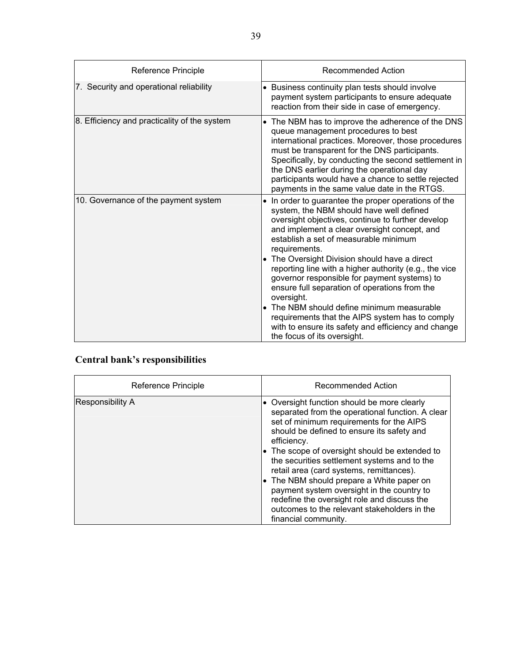| Reference Principle                          | Recommended Action                                                                                                                                                                                                                                                                                                                                                                                                                                                                                                                                                                                                                                                               |
|----------------------------------------------|----------------------------------------------------------------------------------------------------------------------------------------------------------------------------------------------------------------------------------------------------------------------------------------------------------------------------------------------------------------------------------------------------------------------------------------------------------------------------------------------------------------------------------------------------------------------------------------------------------------------------------------------------------------------------------|
| 7. Security and operational reliability      | Business continuity plan tests should involve<br>$\bullet$<br>payment system participants to ensure adequate<br>reaction from their side in case of emergency.                                                                                                                                                                                                                                                                                                                                                                                                                                                                                                                   |
| 8. Efficiency and practicality of the system | The NBM has to improve the adherence of the DNS<br>$\bullet$<br>queue management procedures to best<br>international practices. Moreover, those procedures<br>must be transparent for the DNS participants.<br>Specifically, by conducting the second settlement in<br>the DNS earlier during the operational day<br>participants would have a chance to settle rejected<br>payments in the same value date in the RTGS.                                                                                                                                                                                                                                                         |
| 10. Governance of the payment system         | In order to guarantee the proper operations of the<br>system, the NBM should have well defined<br>oversight objectives, continue to further develop<br>and implement a clear oversight concept, and<br>establish a set of measurable minimum<br>requirements.<br>The Oversight Division should have a direct<br>reporting line with a higher authority (e.g., the vice<br>governor responsible for payment systems) to<br>ensure full separation of operations from the<br>oversight.<br>The NBM should define minimum measurable<br>I۰<br>requirements that the AIPS system has to comply<br>with to ensure its safety and efficiency and change<br>the focus of its oversight. |

## **Central bank's responsibilities**

| Reference Principle | Recommended Action                                                                                                                                                                                                                                                                                                                                                                                                                                                                                                                                                                       |
|---------------------|------------------------------------------------------------------------------------------------------------------------------------------------------------------------------------------------------------------------------------------------------------------------------------------------------------------------------------------------------------------------------------------------------------------------------------------------------------------------------------------------------------------------------------------------------------------------------------------|
| Responsibility A    | • Oversight function should be more clearly<br>separated from the operational function. A clear<br>set of minimum requirements for the AIPS<br>should be defined to ensure its safety and<br>efficiency.<br>$\bullet$ The scope of oversight should be extended to<br>the securities settlement systems and to the<br>retail area (card systems, remittances).<br>$\bullet$ The NBM should prepare a White paper on<br>payment system oversight in the country to<br>redefine the oversight role and discuss the<br>outcomes to the relevant stakeholders in the<br>financial community. |